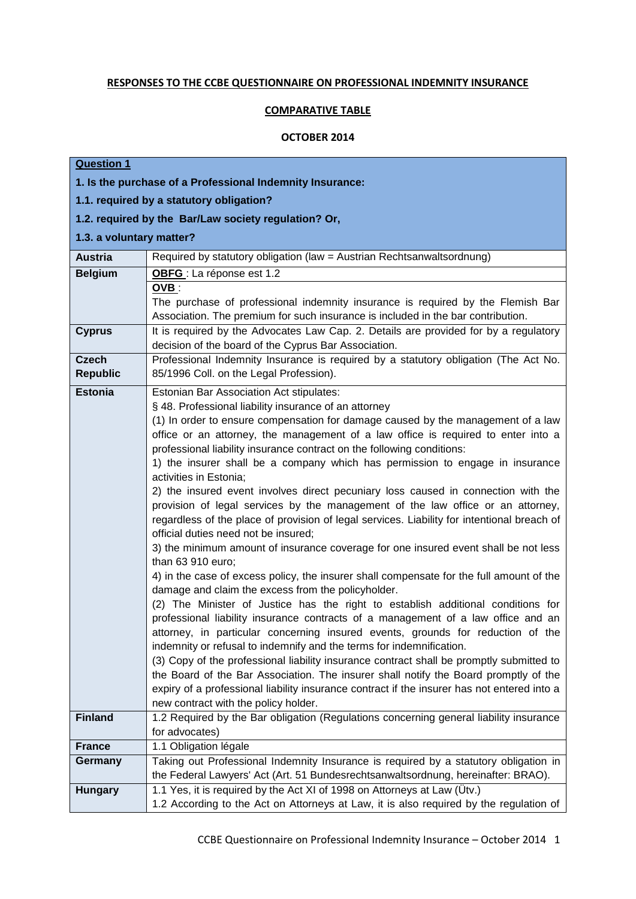## **RESPONSES TO THE CCBE QUESTIONNAIRE ON PROFESSIONAL INDEMNITY INSURANCE**

## **COMPARATIVE TABLE**

## **OCTOBER 2014**

## **Question 1**

| 1. Is the purchase of a Professional Indemnity Insurance: |                                                                                                                                                                                                                                                                                                                                                                                                                                                                                                                                                                                                                                                                                                                                                                                                                                                                                                                                                                                                                                                                                                                                                                                                                                                                                                                                                                                                                                                                                                                                                                                                                                                                                                             |  |  |
|-----------------------------------------------------------|-------------------------------------------------------------------------------------------------------------------------------------------------------------------------------------------------------------------------------------------------------------------------------------------------------------------------------------------------------------------------------------------------------------------------------------------------------------------------------------------------------------------------------------------------------------------------------------------------------------------------------------------------------------------------------------------------------------------------------------------------------------------------------------------------------------------------------------------------------------------------------------------------------------------------------------------------------------------------------------------------------------------------------------------------------------------------------------------------------------------------------------------------------------------------------------------------------------------------------------------------------------------------------------------------------------------------------------------------------------------------------------------------------------------------------------------------------------------------------------------------------------------------------------------------------------------------------------------------------------------------------------------------------------------------------------------------------------|--|--|
| 1.1. required by a statutory obligation?                  |                                                                                                                                                                                                                                                                                                                                                                                                                                                                                                                                                                                                                                                                                                                                                                                                                                                                                                                                                                                                                                                                                                                                                                                                                                                                                                                                                                                                                                                                                                                                                                                                                                                                                                             |  |  |
| 1.2. required by the Bar/Law society regulation? Or,      |                                                                                                                                                                                                                                                                                                                                                                                                                                                                                                                                                                                                                                                                                                                                                                                                                                                                                                                                                                                                                                                                                                                                                                                                                                                                                                                                                                                                                                                                                                                                                                                                                                                                                                             |  |  |
| 1.3. a voluntary matter?                                  |                                                                                                                                                                                                                                                                                                                                                                                                                                                                                                                                                                                                                                                                                                                                                                                                                                                                                                                                                                                                                                                                                                                                                                                                                                                                                                                                                                                                                                                                                                                                                                                                                                                                                                             |  |  |
| <b>Austria</b>                                            | Required by statutory obligation (law = Austrian Rechtsanwaltsordnung)                                                                                                                                                                                                                                                                                                                                                                                                                                                                                                                                                                                                                                                                                                                                                                                                                                                                                                                                                                                                                                                                                                                                                                                                                                                                                                                                                                                                                                                                                                                                                                                                                                      |  |  |
| <b>Belgium</b>                                            | OBFG : La réponse est 1.2                                                                                                                                                                                                                                                                                                                                                                                                                                                                                                                                                                                                                                                                                                                                                                                                                                                                                                                                                                                                                                                                                                                                                                                                                                                                                                                                                                                                                                                                                                                                                                                                                                                                                   |  |  |
|                                                           | OVB:<br>The purchase of professional indemnity insurance is required by the Flemish Bar<br>Association. The premium for such insurance is included in the bar contribution.                                                                                                                                                                                                                                                                                                                                                                                                                                                                                                                                                                                                                                                                                                                                                                                                                                                                                                                                                                                                                                                                                                                                                                                                                                                                                                                                                                                                                                                                                                                                 |  |  |
| <b>Cyprus</b>                                             | It is required by the Advocates Law Cap. 2. Details are provided for by a regulatory<br>decision of the board of the Cyprus Bar Association.                                                                                                                                                                                                                                                                                                                                                                                                                                                                                                                                                                                                                                                                                                                                                                                                                                                                                                                                                                                                                                                                                                                                                                                                                                                                                                                                                                                                                                                                                                                                                                |  |  |
| <b>Czech</b><br><b>Republic</b>                           | Professional Indemnity Insurance is required by a statutory obligation (The Act No.<br>85/1996 Coll. on the Legal Profession).                                                                                                                                                                                                                                                                                                                                                                                                                                                                                                                                                                                                                                                                                                                                                                                                                                                                                                                                                                                                                                                                                                                                                                                                                                                                                                                                                                                                                                                                                                                                                                              |  |  |
| <b>Estonia</b>                                            | Estonian Bar Association Act stipulates:<br>§ 48. Professional liability insurance of an attorney<br>(1) In order to ensure compensation for damage caused by the management of a law<br>office or an attorney, the management of a law office is required to enter into a<br>professional liability insurance contract on the following conditions:<br>1) the insurer shall be a company which has permission to engage in insurance<br>activities in Estonia;<br>2) the insured event involves direct pecuniary loss caused in connection with the<br>provision of legal services by the management of the law office or an attorney,<br>regardless of the place of provision of legal services. Liability for intentional breach of<br>official duties need not be insured;<br>3) the minimum amount of insurance coverage for one insured event shall be not less<br>than 63 910 euro;<br>4) in the case of excess policy, the insurer shall compensate for the full amount of the<br>damage and claim the excess from the policyholder.<br>(2) The Minister of Justice has the right to establish additional conditions for<br>professional liability insurance contracts of a management of a law office and an<br>attorney, in particular concerning insured events, grounds for reduction of the<br>indemnity or refusal to indemnify and the terms for indemnification.<br>(3) Copy of the professional liability insurance contract shall be promptly submitted to<br>the Board of the Bar Association. The insurer shall notify the Board promptly of the<br>expiry of a professional liability insurance contract if the insurer has not entered into a<br>new contract with the policy holder. |  |  |
| <b>Finland</b>                                            | 1.2 Required by the Bar obligation (Regulations concerning general liability insurance<br>for advocates)                                                                                                                                                                                                                                                                                                                                                                                                                                                                                                                                                                                                                                                                                                                                                                                                                                                                                                                                                                                                                                                                                                                                                                                                                                                                                                                                                                                                                                                                                                                                                                                                    |  |  |
| <b>France</b>                                             | 1.1 Obligation légale                                                                                                                                                                                                                                                                                                                                                                                                                                                                                                                                                                                                                                                                                                                                                                                                                                                                                                                                                                                                                                                                                                                                                                                                                                                                                                                                                                                                                                                                                                                                                                                                                                                                                       |  |  |
| Germany                                                   | Taking out Professional Indemnity Insurance is required by a statutory obligation in<br>the Federal Lawyers' Act (Art. 51 Bundesrechtsanwaltsordnung, hereinafter: BRAO).                                                                                                                                                                                                                                                                                                                                                                                                                                                                                                                                                                                                                                                                                                                                                                                                                                                                                                                                                                                                                                                                                                                                                                                                                                                                                                                                                                                                                                                                                                                                   |  |  |
| <b>Hungary</b>                                            | 1.1 Yes, it is required by the Act XI of 1998 on Attorneys at Law (Utv.)<br>1.2 According to the Act on Attorneys at Law, it is also required by the regulation of                                                                                                                                                                                                                                                                                                                                                                                                                                                                                                                                                                                                                                                                                                                                                                                                                                                                                                                                                                                                                                                                                                                                                                                                                                                                                                                                                                                                                                                                                                                                          |  |  |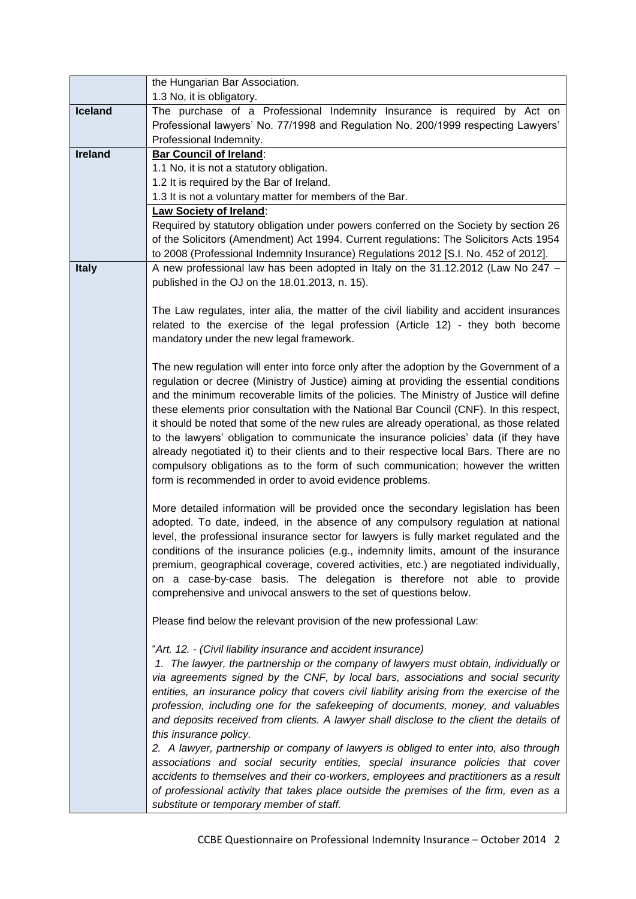|                | the Hungarian Bar Association.                                                             |
|----------------|--------------------------------------------------------------------------------------------|
|                | 1.3 No, it is obligatory.                                                                  |
| Iceland        | The purchase of a Professional Indemnity Insurance is required by Act on                   |
|                | Professional lawyers' No. 77/1998 and Regulation No. 200/1999 respecting Lawyers'          |
|                | Professional Indemnity.                                                                    |
| <b>Ireland</b> | <b>Bar Council of Ireland:</b>                                                             |
|                | 1.1 No, it is not a statutory obligation.                                                  |
|                | 1.2 It is required by the Bar of Ireland.                                                  |
|                | 1.3 It is not a voluntary matter for members of the Bar.                                   |
|                | <b>Law Society of Ireland:</b>                                                             |
|                | Required by statutory obligation under powers conferred on the Society by section 26       |
|                | of the Solicitors (Amendment) Act 1994. Current regulations: The Solicitors Acts 1954      |
|                | to 2008 (Professional Indemnity Insurance) Regulations 2012 [S.I. No. 452 of 2012].        |
| <b>Italy</b>   | A new professional law has been adopted in Italy on the 31.12.2012 (Law No 247 -           |
|                | published in the OJ on the 18.01.2013, n. 15).                                             |
|                |                                                                                            |
|                | The Law regulates, inter alia, the matter of the civil liability and accident insurances   |
|                | related to the exercise of the legal profession (Article 12) - they both become            |
|                | mandatory under the new legal framework.                                                   |
|                |                                                                                            |
|                | The new regulation will enter into force only after the adoption by the Government of a    |
|                | regulation or decree (Ministry of Justice) aiming at providing the essential conditions    |
|                | and the minimum recoverable limits of the policies. The Ministry of Justice will define    |
|                | these elements prior consultation with the National Bar Council (CNF). In this respect,    |
|                | it should be noted that some of the new rules are already operational, as those related    |
|                | to the lawyers' obligation to communicate the insurance policies' data (if they have       |
|                | already negotiated it) to their clients and to their respective local Bars. There are no   |
|                | compulsory obligations as to the form of such communication; however the written           |
|                | form is recommended in order to avoid evidence problems.                                   |
|                |                                                                                            |
|                | More detailed information will be provided once the secondary legislation has been         |
|                | adopted. To date, indeed, in the absence of any compulsory regulation at national          |
|                | level, the professional insurance sector for lawyers is fully market regulated and the     |
|                | conditions of the insurance policies (e.g., indemnity limits, amount of the insurance      |
|                | premium, geographical coverage, covered activities, etc.) are negotiated individually,     |
|                | on a case-by-case basis. The delegation is therefore not able to provide                   |
|                | comprehensive and univocal answers to the set of questions below.                          |
|                |                                                                                            |
|                | Please find below the relevant provision of the new professional Law:                      |
|                | "Art. 12. - (Civil liability insurance and accident insurance)                             |
|                | 1. The lawyer, the partnership or the company of lawyers must obtain, individually or      |
|                | via agreements signed by the CNF, by local bars, associations and social security          |
|                | entities, an insurance policy that covers civil liability arising from the exercise of the |
|                | profession, including one for the safekeeping of documents, money, and valuables           |
|                | and deposits received from clients. A lawyer shall disclose to the client the details of   |
|                | this insurance policy.                                                                     |
|                | 2. A lawyer, partnership or company of lawyers is obliged to enter into, also through      |
|                | associations and social security entities, special insurance policies that cover           |
|                | accidents to themselves and their co-workers, employees and practitioners as a result      |
|                | of professional activity that takes place outside the premises of the firm, even as a      |
|                | substitute or temporary member of staff.                                                   |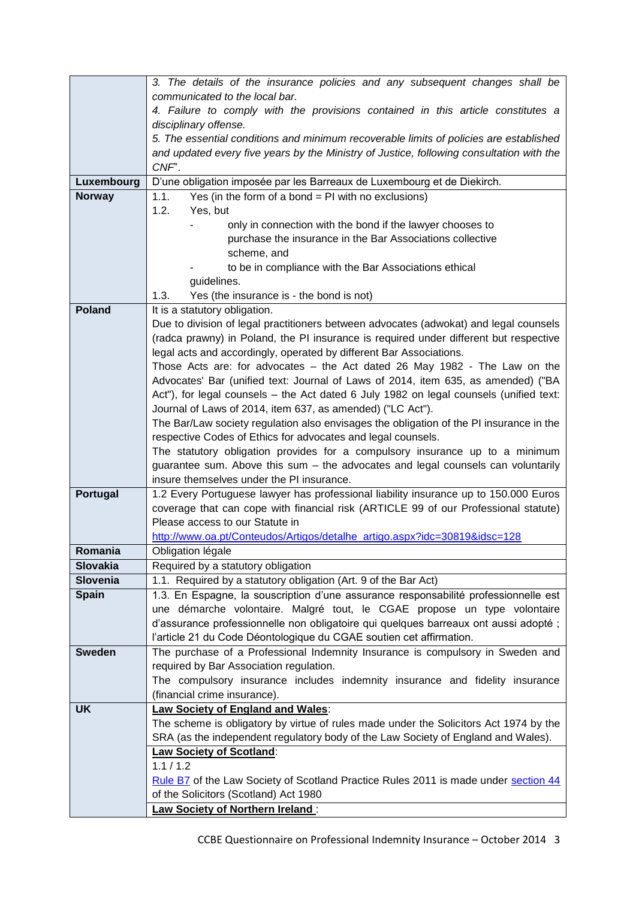|                 | 3. The details of the insurance policies and any subsequent changes shall be                                                                           |  |  |  |  |
|-----------------|--------------------------------------------------------------------------------------------------------------------------------------------------------|--|--|--|--|
|                 | communicated to the local bar.                                                                                                                         |  |  |  |  |
|                 | 4. Failure to comply with the provisions contained in this article constitutes a                                                                       |  |  |  |  |
|                 | disciplinary offense.                                                                                                                                  |  |  |  |  |
|                 | 5. The essential conditions and minimum recoverable limits of policies are established                                                                 |  |  |  |  |
|                 | and updated every five years by the Ministry of Justice, following consultation with the<br>CNF".                                                      |  |  |  |  |
| Luxembourg      | D'une obligation imposée par les Barreaux de Luxembourg et de Diekirch.                                                                                |  |  |  |  |
| <b>Norway</b>   | 1.1.<br>Yes (in the form of a bond $=$ PI with no exclusions)                                                                                          |  |  |  |  |
|                 | 1.2.<br>Yes, but                                                                                                                                       |  |  |  |  |
|                 | only in connection with the bond if the lawyer chooses to                                                                                              |  |  |  |  |
|                 | purchase the insurance in the Bar Associations collective                                                                                              |  |  |  |  |
|                 | scheme, and                                                                                                                                            |  |  |  |  |
|                 | to be in compliance with the Bar Associations ethical                                                                                                  |  |  |  |  |
|                 | guidelines.                                                                                                                                            |  |  |  |  |
|                 | 1.3.<br>Yes (the insurance is - the bond is not)                                                                                                       |  |  |  |  |
| <b>Poland</b>   | It is a statutory obligation.                                                                                                                          |  |  |  |  |
|                 | Due to division of legal practitioners between advocates (adwokat) and legal counsels                                                                  |  |  |  |  |
|                 | (radca prawny) in Poland, the PI insurance is required under different but respective                                                                  |  |  |  |  |
|                 | legal acts and accordingly, operated by different Bar Associations.                                                                                    |  |  |  |  |
|                 | Those Acts are: for advocates - the Act dated 26 May 1982 - The Law on the                                                                             |  |  |  |  |
|                 | Advocates' Bar (unified text: Journal of Laws of 2014, item 635, as amended) ("BA                                                                      |  |  |  |  |
|                 | Act"), for legal counsels - the Act dated 6 July 1982 on legal counsels (unified text:<br>Journal of Laws of 2014, item 637, as amended) ("LC Act").   |  |  |  |  |
|                 | The Bar/Law society regulation also envisages the obligation of the PI insurance in the                                                                |  |  |  |  |
|                 | respective Codes of Ethics for advocates and legal counsels.                                                                                           |  |  |  |  |
|                 | The statutory obligation provides for a compulsory insurance up to a minimum                                                                           |  |  |  |  |
|                 | guarantee sum. Above this sum - the advocates and legal counsels can voluntarily                                                                       |  |  |  |  |
|                 | insure themselves under the PI insurance.                                                                                                              |  |  |  |  |
| Portugal        | 1.2 Every Portuguese lawyer has professional liability insurance up to 150.000 Euros                                                                   |  |  |  |  |
|                 | coverage that can cope with financial risk (ARTICLE 99 of our Professional statute)                                                                    |  |  |  |  |
|                 | Please access to our Statute in                                                                                                                        |  |  |  |  |
|                 | http://www.oa.pt/Conteudos/Artigos/detalhe_artigo.aspx?idc=30819&idsc=128                                                                              |  |  |  |  |
| Romania         | Obligation légale                                                                                                                                      |  |  |  |  |
| <b>Slovakia</b> | Required by a statutory obligation                                                                                                                     |  |  |  |  |
| Slovenia        | 1.1. Required by a statutory obligation (Art. 9 of the Bar Act)<br>1.3. En Espagne, la souscription d'une assurance responsabilité professionnelle est |  |  |  |  |
| <b>Spain</b>    | une démarche volontaire. Malgré tout, le CGAE propose un type volontaire                                                                               |  |  |  |  |
|                 | d'assurance professionnelle non obligatoire qui quelques barreaux ont aussi adopté ;                                                                   |  |  |  |  |
|                 | l'article 21 du Code Déontologique du CGAE soutien cet affirmation.                                                                                    |  |  |  |  |
| <b>Sweden</b>   | The purchase of a Professional Indemnity Insurance is compulsory in Sweden and                                                                         |  |  |  |  |
|                 | required by Bar Association regulation.                                                                                                                |  |  |  |  |
|                 | The compulsory insurance includes indemnity insurance and fidelity insurance                                                                           |  |  |  |  |
|                 | (financial crime insurance).                                                                                                                           |  |  |  |  |
| <b>UK</b>       | <b>Law Society of England and Wales:</b>                                                                                                               |  |  |  |  |
|                 | The scheme is obligatory by virtue of rules made under the Solicitors Act 1974 by the                                                                  |  |  |  |  |
|                 | SRA (as the independent regulatory body of the Law Society of England and Wales).                                                                      |  |  |  |  |
|                 | <b>Law Society of Scotland:</b>                                                                                                                        |  |  |  |  |
|                 | 1.1 / 1.2                                                                                                                                              |  |  |  |  |
|                 | Rule B7 of the Law Society of Scotland Practice Rules 2011 is made under section 44                                                                    |  |  |  |  |
|                 | of the Solicitors (Scotland) Act 1980                                                                                                                  |  |  |  |  |
|                 | Law Society of Northern Ireland:                                                                                                                       |  |  |  |  |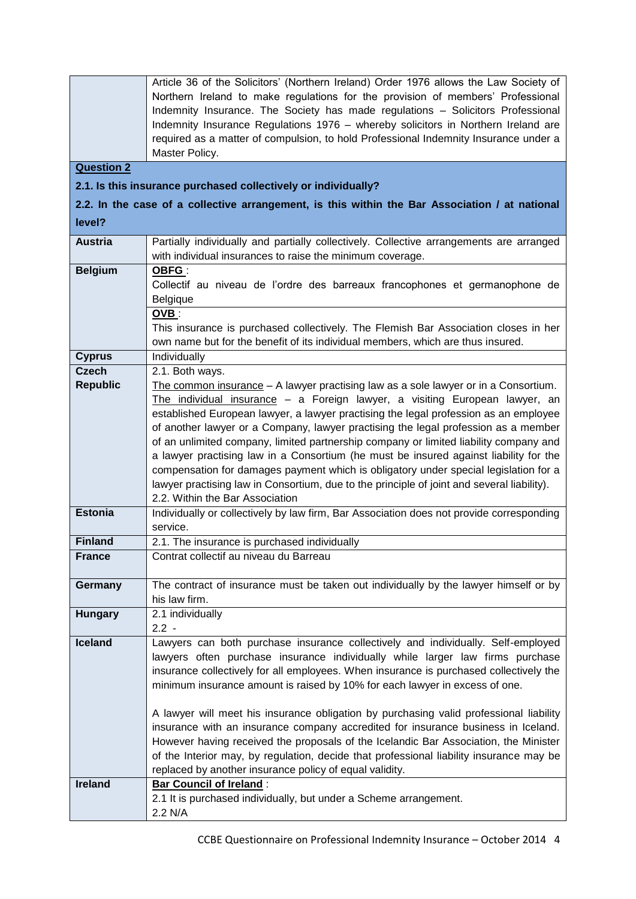|                   | Article 36 of the Solicitors' (Northern Ireland) Order 1976 allows the Law Society of                 |
|-------------------|-------------------------------------------------------------------------------------------------------|
|                   | Northern Ireland to make regulations for the provision of members' Professional                       |
|                   | Indemnity Insurance. The Society has made regulations - Solicitors Professional                       |
|                   | Indemnity Insurance Regulations 1976 - whereby solicitors in Northern Ireland are                     |
|                   | required as a matter of compulsion, to hold Professional Indemnity Insurance under a                  |
|                   | Master Policy.                                                                                        |
| <b>Question 2</b> |                                                                                                       |
|                   | 2.1. Is this insurance purchased collectively or individually?                                        |
|                   | 2.2. In the case of a collective arrangement, is this within the Bar Association / at national        |
|                   |                                                                                                       |
| level?            |                                                                                                       |
| <b>Austria</b>    | Partially individually and partially collectively. Collective arrangements are arranged               |
|                   | with individual insurances to raise the minimum coverage.                                             |
| <b>Belgium</b>    | OBFG:                                                                                                 |
|                   | Collectif au niveau de l'ordre des barreaux francophones et germanophone de                           |
|                   | Belgique                                                                                              |
|                   | OVB:                                                                                                  |
|                   | This insurance is purchased collectively. The Flemish Bar Association closes in her                   |
|                   | own name but for the benefit of its individual members, which are thus insured.                       |
| <b>Cyprus</b>     | Individually                                                                                          |
| <b>Czech</b>      | 2.1. Both ways.                                                                                       |
| <b>Republic</b>   | The common insurance $- A$ lawyer practising law as a sole lawyer or in a Consortium.                 |
|                   | The individual insurance $-$ a Foreign lawyer, a visiting European lawyer, an                         |
|                   | established European lawyer, a lawyer practising the legal profession as an employee                  |
|                   | of another lawyer or a Company, lawyer practising the legal profession as a member                    |
|                   | of an unlimited company, limited partnership company or limited liability company and                 |
|                   | a lawyer practising law in a Consortium (he must be insured against liability for the                 |
|                   | compensation for damages payment which is obligatory under special legislation for a                  |
|                   | lawyer practising law in Consortium, due to the principle of joint and several liability).            |
|                   | 2.2. Within the Bar Association                                                                       |
| <b>Estonia</b>    | Individually or collectively by law firm, Bar Association does not provide corresponding              |
|                   | service.                                                                                              |
| <b>Finland</b>    | 2.1. The insurance is purchased individually                                                          |
| France            | Contrat collectif au niveau du Barreau                                                                |
|                   |                                                                                                       |
| Germany           | The contract of insurance must be taken out individually by the lawyer himself or by<br>his law firm. |
| <b>Hungary</b>    | 2.1 individually                                                                                      |
|                   | $2.2 -$                                                                                               |
| <b>Iceland</b>    | Lawyers can both purchase insurance collectively and individually. Self-employed                      |
|                   | lawyers often purchase insurance individually while larger law firms purchase                         |
|                   | insurance collectively for all employees. When insurance is purchased collectively the                |
|                   | minimum insurance amount is raised by 10% for each lawyer in excess of one.                           |
|                   |                                                                                                       |
|                   | A lawyer will meet his insurance obligation by purchasing valid professional liability                |
|                   | insurance with an insurance company accredited for insurance business in Iceland.                     |
|                   | However having received the proposals of the Icelandic Bar Association, the Minister                  |
|                   | of the Interior may, by regulation, decide that professional liability insurance may be               |
|                   | replaced by another insurance policy of equal validity.                                               |
| <b>Ireland</b>    | <b>Bar Council of Ireland:</b>                                                                        |
|                   | 2.1 It is purchased individually, but under a Scheme arrangement.                                     |
|                   | 2.2 N/A                                                                                               |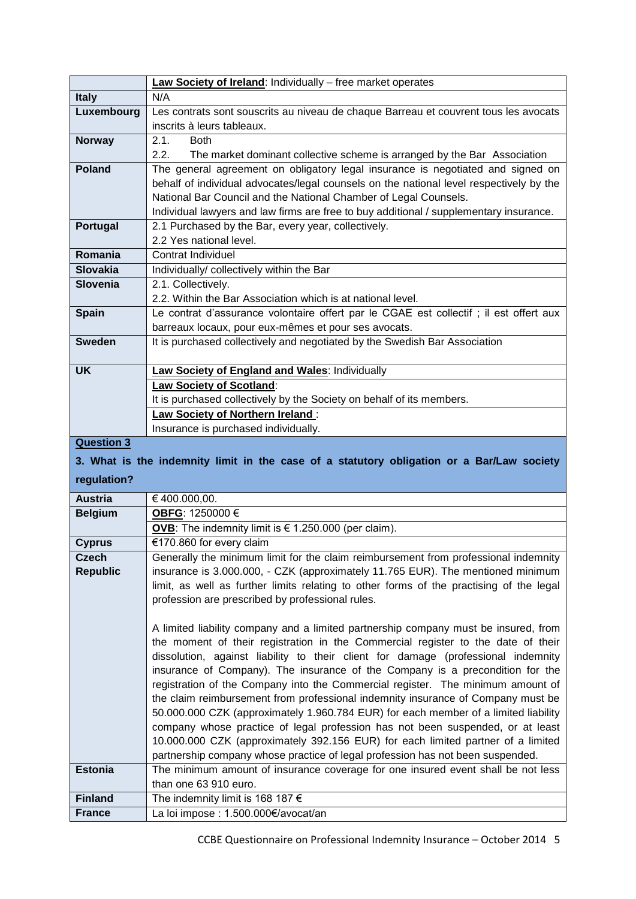|                   | Law Society of Ireland: Individually - free market operates                                                                                                             |
|-------------------|-------------------------------------------------------------------------------------------------------------------------------------------------------------------------|
| <b>Italy</b>      | N/A                                                                                                                                                                     |
| Luxembourg        | Les contrats sont souscrits au niveau de chaque Barreau et couvrent tous les avocats                                                                                    |
|                   | inscrits à leurs tableaux.                                                                                                                                              |
| <b>Norway</b>     | 2.1.<br><b>Both</b>                                                                                                                                                     |
|                   | 2.2.<br>The market dominant collective scheme is arranged by the Bar Association                                                                                        |
| <b>Poland</b>     | The general agreement on obligatory legal insurance is negotiated and signed on                                                                                         |
|                   | behalf of individual advocates/legal counsels on the national level respectively by the                                                                                 |
|                   | National Bar Council and the National Chamber of Legal Counsels.                                                                                                        |
|                   | Individual lawyers and law firms are free to buy additional / supplementary insurance.                                                                                  |
| Portugal          | 2.1 Purchased by the Bar, every year, collectively.                                                                                                                     |
|                   | 2.2 Yes national level.                                                                                                                                                 |
| Romania           | Contrat Individuel                                                                                                                                                      |
| <b>Slovakia</b>   | Individually/ collectively within the Bar                                                                                                                               |
| <b>Slovenia</b>   | 2.1. Collectively.                                                                                                                                                      |
|                   | 2.2. Within the Bar Association which is at national level.                                                                                                             |
| <b>Spain</b>      | Le contrat d'assurance volontaire offert par le CGAE est collectif ; il est offert aux                                                                                  |
|                   | barreaux locaux, pour eux-mêmes et pour ses avocats.                                                                                                                    |
| <b>Sweden</b>     | It is purchased collectively and negotiated by the Swedish Bar Association                                                                                              |
|                   |                                                                                                                                                                         |
| <b>UK</b>         | <b>Law Society of England and Wales: Individually</b>                                                                                                                   |
|                   | Law Society of Scotland:                                                                                                                                                |
|                   | It is purchased collectively by the Society on behalf of its members.                                                                                                   |
|                   |                                                                                                                                                                         |
|                   | Law Society of Northern Ireland:                                                                                                                                        |
|                   | Insurance is purchased individually.                                                                                                                                    |
| <b>Question 3</b> |                                                                                                                                                                         |
|                   | 3. What is the indemnity limit in the case of a statutory obligation or a Bar/Law society                                                                               |
|                   |                                                                                                                                                                         |
| regulation?       |                                                                                                                                                                         |
| <b>Austria</b>    | €400.000,00.                                                                                                                                                            |
| <b>Belgium</b>    | OBFG: 1250000 €                                                                                                                                                         |
|                   | OVB: The indemnity limit is $\in$ 1.250.000 (per claim).                                                                                                                |
| <b>Cyprus</b>     | €170.860 for every claim                                                                                                                                                |
| Czech             | Generally the minimum limit for the claim reimbursement from professional indemnity                                                                                     |
| <b>Republic</b>   | insurance is 3.000.000, - CZK (approximately 11.765 EUR). The mentioned minimum                                                                                         |
|                   | limit, as well as further limits relating to other forms of the practising of the legal                                                                                 |
|                   | profession are prescribed by professional rules.                                                                                                                        |
|                   |                                                                                                                                                                         |
|                   | A limited liability company and a limited partnership company must be insured, from                                                                                     |
|                   | the moment of their registration in the Commercial register to the date of their                                                                                        |
|                   | dissolution, against liability to their client for damage (professional indemnity                                                                                       |
|                   | insurance of Company). The insurance of the Company is a precondition for the                                                                                           |
|                   | registration of the Company into the Commercial register. The minimum amount of                                                                                         |
|                   | the claim reimbursement from professional indemnity insurance of Company must be<br>50.000.000 CZK (approximately 1.960.784 EUR) for each member of a limited liability |
|                   | company whose practice of legal profession has not been suspended, or at least                                                                                          |
|                   | 10.000.000 CZK (approximately 392.156 EUR) for each limited partner of a limited                                                                                        |
|                   | partnership company whose practice of legal profession has not been suspended.                                                                                          |
| <b>Estonia</b>    | The minimum amount of insurance coverage for one insured event shall be not less                                                                                        |
|                   | than one 63 910 euro.                                                                                                                                                   |
| <b>Finland</b>    | The indemnity limit is 168 187 $\epsilon$                                                                                                                               |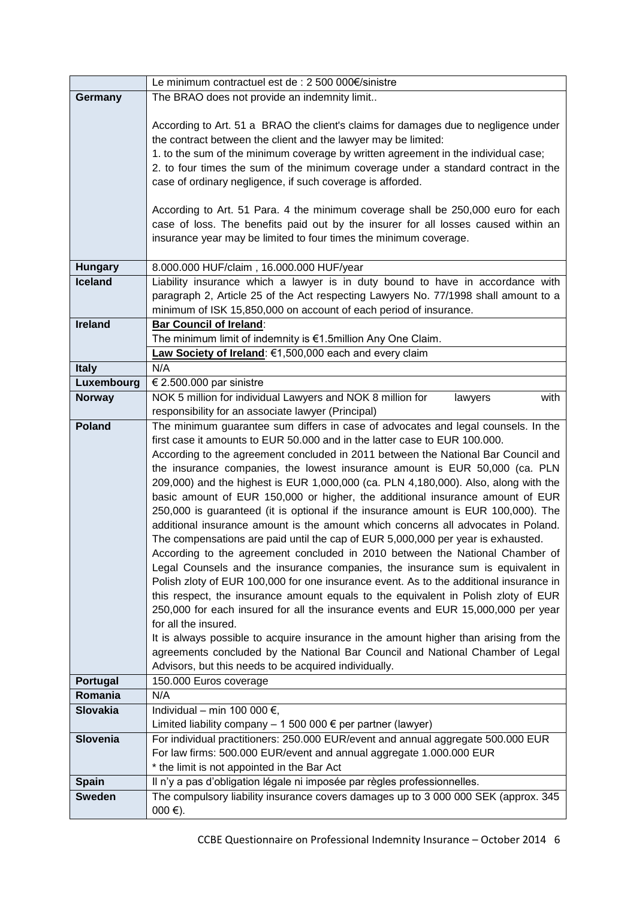|                                  | Le minimum contractuel est de : 2 500 000€/sinistre                                                                                                                   |
|----------------------------------|-----------------------------------------------------------------------------------------------------------------------------------------------------------------------|
| Germany                          | The BRAO does not provide an indemnity limit                                                                                                                          |
|                                  |                                                                                                                                                                       |
|                                  | According to Art. 51 a BRAO the client's claims for damages due to negligence under                                                                                   |
|                                  | the contract between the client and the lawyer may be limited:                                                                                                        |
|                                  | 1. to the sum of the minimum coverage by written agreement in the individual case;                                                                                    |
|                                  | 2. to four times the sum of the minimum coverage under a standard contract in the                                                                                     |
|                                  | case of ordinary negligence, if such coverage is afforded.                                                                                                            |
|                                  |                                                                                                                                                                       |
|                                  | According to Art. 51 Para. 4 the minimum coverage shall be 250,000 euro for each                                                                                      |
|                                  | case of loss. The benefits paid out by the insurer for all losses caused within an                                                                                    |
|                                  | insurance year may be limited to four times the minimum coverage.                                                                                                     |
|                                  |                                                                                                                                                                       |
| <b>Hungary</b><br><b>Iceland</b> | 8.000.000 HUF/claim, 16.000.000 HUF/year<br>Liability insurance which a lawyer is in duty bound to have in accordance with                                            |
|                                  | paragraph 2, Article 25 of the Act respecting Lawyers No. 77/1998 shall amount to a                                                                                   |
|                                  | minimum of ISK 15,850,000 on account of each period of insurance.                                                                                                     |
| <b>Ireland</b>                   | <b>Bar Council of Ireland:</b>                                                                                                                                        |
|                                  | The minimum limit of indemnity is €1.5million Any One Claim.                                                                                                          |
|                                  | Law Society of Ireland: €1,500,000 each and every claim                                                                                                               |
| <b>Italy</b>                     | N/A                                                                                                                                                                   |
| Luxembourg                       | € 2.500.000 par sinistre                                                                                                                                              |
| <b>Norway</b>                    | NOK 5 million for individual Lawyers and NOK 8 million for<br>with<br>lawyers                                                                                         |
|                                  | responsibility for an associate lawyer (Principal)                                                                                                                    |
| <b>Poland</b>                    | The minimum guarantee sum differs in case of advocates and legal counsels. In the                                                                                     |
|                                  | first case it amounts to EUR 50.000 and in the latter case to EUR 100.000.                                                                                            |
|                                  | According to the agreement concluded in 2011 between the National Bar Council and                                                                                     |
|                                  | the insurance companies, the lowest insurance amount is EUR 50,000 (ca. PLN                                                                                           |
|                                  | 209,000) and the highest is EUR 1,000,000 (ca. PLN 4,180,000). Also, along with the                                                                                   |
|                                  | basic amount of EUR 150,000 or higher, the additional insurance amount of EUR                                                                                         |
|                                  | 250,000 is guaranteed (it is optional if the insurance amount is EUR 100,000). The                                                                                    |
|                                  | additional insurance amount is the amount which concerns all advocates in Poland.<br>The compensations are paid until the cap of EUR 5,000,000 per year is exhausted. |
|                                  | According to the agreement concluded in 2010 between the National Chamber of                                                                                          |
|                                  | Legal Counsels and the insurance companies, the insurance sum is equivalent in                                                                                        |
|                                  | Polish zloty of EUR 100,000 for one insurance event. As to the additional insurance in                                                                                |
|                                  | this respect, the insurance amount equals to the equivalent in Polish zloty of EUR                                                                                    |
|                                  | 250,000 for each insured for all the insurance events and EUR 15,000,000 per year                                                                                     |
|                                  | for all the insured.                                                                                                                                                  |
|                                  | It is always possible to acquire insurance in the amount higher than arising from the                                                                                 |
|                                  | agreements concluded by the National Bar Council and National Chamber of Legal                                                                                        |
|                                  | Advisors, but this needs to be acquired individually.                                                                                                                 |
| Portugal                         | 150.000 Euros coverage                                                                                                                                                |
| Romania                          | N/A                                                                                                                                                                   |
| <b>Slovakia</b>                  | Individual - min 100 000 $\epsilon$ ,                                                                                                                                 |
|                                  | Limited liability company $-1500000 \in$ per partner (lawyer)                                                                                                         |
| Slovenia                         | For individual practitioners: 250.000 EUR/event and annual aggregate 500.000 EUR                                                                                      |
|                                  | For law firms: 500.000 EUR/event and annual aggregate 1.000.000 EUR<br>* the limit is not appointed in the Bar Act                                                    |
| <b>Spain</b>                     | Il n'y a pas d'obligation légale ni imposée par règles professionnelles.                                                                                              |
| <b>Sweden</b>                    | The compulsory liability insurance covers damages up to 3 000 000 SEK (approx. 345                                                                                    |
|                                  | $000 €$ ).                                                                                                                                                            |
|                                  |                                                                                                                                                                       |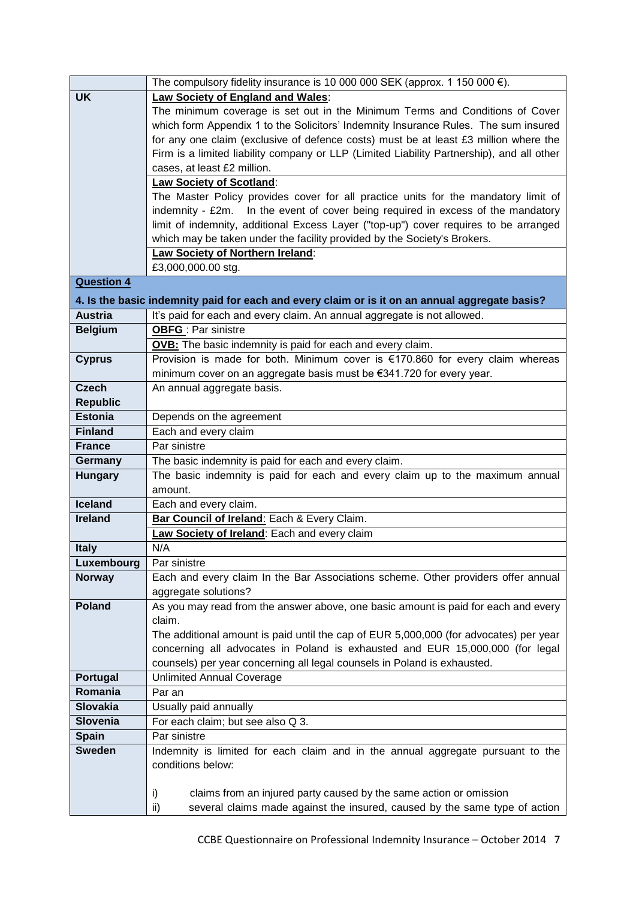|                   | The compulsory fidelity insurance is 10 000 000 SEK (approx. 1 150 000 $\epsilon$ ).                                                                                      |  |  |  |  |  |
|-------------------|---------------------------------------------------------------------------------------------------------------------------------------------------------------------------|--|--|--|--|--|
| <b>UK</b>         | Law Society of England and Wales:                                                                                                                                         |  |  |  |  |  |
|                   | The minimum coverage is set out in the Minimum Terms and Conditions of Cover                                                                                              |  |  |  |  |  |
|                   | which form Appendix 1 to the Solicitors' Indemnity Insurance Rules. The sum insured                                                                                       |  |  |  |  |  |
|                   | for any one claim (exclusive of defence costs) must be at least £3 million where the                                                                                      |  |  |  |  |  |
|                   | Firm is a limited liability company or LLP (Limited Liability Partnership), and all other                                                                                 |  |  |  |  |  |
|                   | cases, at least £2 million.                                                                                                                                               |  |  |  |  |  |
|                   | <b>Law Society of Scotland:</b>                                                                                                                                           |  |  |  |  |  |
|                   | The Master Policy provides cover for all practice units for the mandatory limit of                                                                                        |  |  |  |  |  |
|                   | indemnity - £2m. In the event of cover being required in excess of the mandatory                                                                                          |  |  |  |  |  |
|                   | limit of indemnity, additional Excess Layer ("top-up") cover requires to be arranged                                                                                      |  |  |  |  |  |
|                   | which may be taken under the facility provided by the Society's Brokers.                                                                                                  |  |  |  |  |  |
|                   | <b>Law Society of Northern Ireland:</b>                                                                                                                                   |  |  |  |  |  |
|                   | £3,000,000.00 stg.                                                                                                                                                        |  |  |  |  |  |
| <b>Question 4</b> |                                                                                                                                                                           |  |  |  |  |  |
|                   |                                                                                                                                                                           |  |  |  |  |  |
| <b>Austria</b>    | 4. Is the basic indemnity paid for each and every claim or is it on an annual aggregate basis?<br>It's paid for each and every claim. An annual aggregate is not allowed. |  |  |  |  |  |
|                   | <b>OBFG</b> : Par sinistre                                                                                                                                                |  |  |  |  |  |
| <b>Belgium</b>    |                                                                                                                                                                           |  |  |  |  |  |
|                   | OVB: The basic indemnity is paid for each and every claim.                                                                                                                |  |  |  |  |  |
| <b>Cyprus</b>     | Provision is made for both. Minimum cover is €170.860 for every claim whereas                                                                                             |  |  |  |  |  |
|                   | minimum cover on an aggregate basis must be €341.720 for every year.                                                                                                      |  |  |  |  |  |
| <b>Czech</b>      | An annual aggregate basis.                                                                                                                                                |  |  |  |  |  |
| <b>Republic</b>   |                                                                                                                                                                           |  |  |  |  |  |
| <b>Estonia</b>    | Depends on the agreement                                                                                                                                                  |  |  |  |  |  |
| <b>Finland</b>    | Each and every claim                                                                                                                                                      |  |  |  |  |  |
| <b>France</b>     | Par sinistre                                                                                                                                                              |  |  |  |  |  |
| Germany           | The basic indemnity is paid for each and every claim.                                                                                                                     |  |  |  |  |  |
| <b>Hungary</b>    | The basic indemnity is paid for each and every claim up to the maximum annual                                                                                             |  |  |  |  |  |
|                   | amount.                                                                                                                                                                   |  |  |  |  |  |
| <b>Iceland</b>    | Each and every claim.                                                                                                                                                     |  |  |  |  |  |
| <b>Ireland</b>    | Bar Council of Ireland: Each & Every Claim.                                                                                                                               |  |  |  |  |  |
|                   | Law Society of Ireland: Each and every claim                                                                                                                              |  |  |  |  |  |
| <b>Italy</b>      | N/A                                                                                                                                                                       |  |  |  |  |  |
| Luxembourg        | Par sinistre                                                                                                                                                              |  |  |  |  |  |
| <b>Norway</b>     | Each and every claim In the Bar Associations scheme. Other providers offer annual                                                                                         |  |  |  |  |  |
|                   | aggregate solutions?                                                                                                                                                      |  |  |  |  |  |
| <b>Poland</b>     | As you may read from the answer above, one basic amount is paid for each and every                                                                                        |  |  |  |  |  |
|                   | claim.                                                                                                                                                                    |  |  |  |  |  |
|                   | The additional amount is paid until the cap of EUR 5,000,000 (for advocates) per year                                                                                     |  |  |  |  |  |
|                   | concerning all advocates in Poland is exhausted and EUR 15,000,000 (for legal                                                                                             |  |  |  |  |  |
|                   | counsels) per year concerning all legal counsels in Poland is exhausted.                                                                                                  |  |  |  |  |  |
| Portugal          | <b>Unlimited Annual Coverage</b>                                                                                                                                          |  |  |  |  |  |
| Romania           | Par an                                                                                                                                                                    |  |  |  |  |  |
| <b>Slovakia</b>   | Usually paid annually                                                                                                                                                     |  |  |  |  |  |
| Slovenia          | For each claim; but see also Q 3.                                                                                                                                         |  |  |  |  |  |
| <b>Spain</b>      | Par sinistre                                                                                                                                                              |  |  |  |  |  |
| <b>Sweden</b>     | Indemnity is limited for each claim and in the annual aggregate pursuant to the                                                                                           |  |  |  |  |  |
|                   | conditions below:                                                                                                                                                         |  |  |  |  |  |
|                   |                                                                                                                                                                           |  |  |  |  |  |
|                   | claims from an injured party caused by the same action or omission<br>i)                                                                                                  |  |  |  |  |  |
|                   | several claims made against the insured, caused by the same type of action<br>ii)                                                                                         |  |  |  |  |  |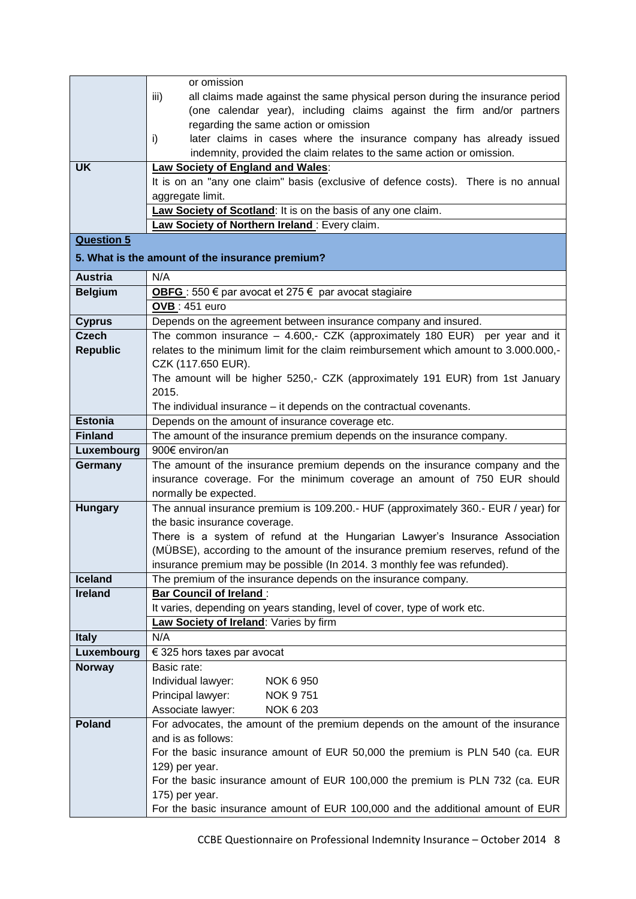|                   | or omission                                                                                                         |  |  |  |  |  |
|-------------------|---------------------------------------------------------------------------------------------------------------------|--|--|--|--|--|
|                   | all claims made against the same physical person during the insurance period<br>iii)                                |  |  |  |  |  |
|                   | (one calendar year), including claims against the firm and/or partners                                              |  |  |  |  |  |
|                   | regarding the same action or omission                                                                               |  |  |  |  |  |
|                   | later claims in cases where the insurance company has already issued<br>i)                                          |  |  |  |  |  |
|                   | indemnity, provided the claim relates to the same action or omission.                                               |  |  |  |  |  |
| <b>UK</b>         | <b>Law Society of England and Wales:</b>                                                                            |  |  |  |  |  |
|                   | It is on an "any one claim" basis (exclusive of defence costs). There is no annual                                  |  |  |  |  |  |
|                   | aggregate limit.                                                                                                    |  |  |  |  |  |
|                   | Law Society of Scotland: It is on the basis of any one claim.                                                       |  |  |  |  |  |
|                   | Law Society of Northern Ireland: Every claim.                                                                       |  |  |  |  |  |
| <b>Question 5</b> |                                                                                                                     |  |  |  |  |  |
|                   | 5. What is the amount of the insurance premium?                                                                     |  |  |  |  |  |
| <b>Austria</b>    | N/A                                                                                                                 |  |  |  |  |  |
| <b>Belgium</b>    | OBFG : 550 € par avocat et 275 € par avocat stagiaire                                                               |  |  |  |  |  |
|                   | <b>OVB</b> : 451 euro                                                                                               |  |  |  |  |  |
| <b>Cyprus</b>     | Depends on the agreement between insurance company and insured.                                                     |  |  |  |  |  |
| <b>Czech</b>      | The common insurance $-$ 4.600,- CZK (approximately 180 EUR) per year and it                                        |  |  |  |  |  |
| <b>Republic</b>   | relates to the minimum limit for the claim reimbursement which amount to 3.000.000,-                                |  |  |  |  |  |
|                   | CZK (117.650 EUR).                                                                                                  |  |  |  |  |  |
|                   | The amount will be higher 5250,- CZK (approximately 191 EUR) from 1st January                                       |  |  |  |  |  |
|                   | 2015.                                                                                                               |  |  |  |  |  |
|                   | The individual insurance - it depends on the contractual covenants.                                                 |  |  |  |  |  |
| <b>Estonia</b>    | Depends on the amount of insurance coverage etc.                                                                    |  |  |  |  |  |
| <b>Finland</b>    | The amount of the insurance premium depends on the insurance company.                                               |  |  |  |  |  |
| Luxembourg        | 900€ environ/an                                                                                                     |  |  |  |  |  |
| Germany           | The amount of the insurance premium depends on the insurance company and the                                        |  |  |  |  |  |
|                   | insurance coverage. For the minimum coverage an amount of 750 EUR should                                            |  |  |  |  |  |
|                   | normally be expected.                                                                                               |  |  |  |  |  |
| <b>Hungary</b>    | The annual insurance premium is 109.200.- HUF (approximately 360.- EUR / year) for<br>the basic insurance coverage. |  |  |  |  |  |
|                   | There is a system of refund at the Hungarian Lawyer's Insurance Association                                         |  |  |  |  |  |
|                   | (MÜBSE), according to the amount of the insurance premium reserves, refund of the                                   |  |  |  |  |  |
|                   | insurance premium may be possible (In 2014. 3 monthly fee was refunded).                                            |  |  |  |  |  |
| <b>Iceland</b>    | The premium of the insurance depends on the insurance company.                                                      |  |  |  |  |  |
| <b>Ireland</b>    | <b>Bar Council of Ireland:</b>                                                                                      |  |  |  |  |  |
|                   | It varies, depending on years standing, level of cover, type of work etc.                                           |  |  |  |  |  |
|                   | Law Society of Ireland: Varies by firm                                                                              |  |  |  |  |  |
| <b>Italy</b>      | N/A                                                                                                                 |  |  |  |  |  |
| Luxembourg        | $\epsilon$ 325 hors taxes par avocat                                                                                |  |  |  |  |  |
| <b>Norway</b>     | Basic rate:                                                                                                         |  |  |  |  |  |
|                   | Individual lawyer:<br><b>NOK 6 950</b>                                                                              |  |  |  |  |  |
|                   | Principal lawyer:<br><b>NOK 9751</b>                                                                                |  |  |  |  |  |
|                   | NOK 6 203<br>Associate lawyer:                                                                                      |  |  |  |  |  |
| Poland            | For advocates, the amount of the premium depends on the amount of the insurance                                     |  |  |  |  |  |
|                   | and is as follows:                                                                                                  |  |  |  |  |  |
|                   | For the basic insurance amount of EUR 50,000 the premium is PLN 540 (ca. EUR                                        |  |  |  |  |  |
|                   | 129) per year.                                                                                                      |  |  |  |  |  |
|                   | For the basic insurance amount of EUR 100,000 the premium is PLN 732 (ca. EUR                                       |  |  |  |  |  |
|                   | 175) per year.                                                                                                      |  |  |  |  |  |
|                   | For the basic insurance amount of EUR 100,000 and the additional amount of EUR                                      |  |  |  |  |  |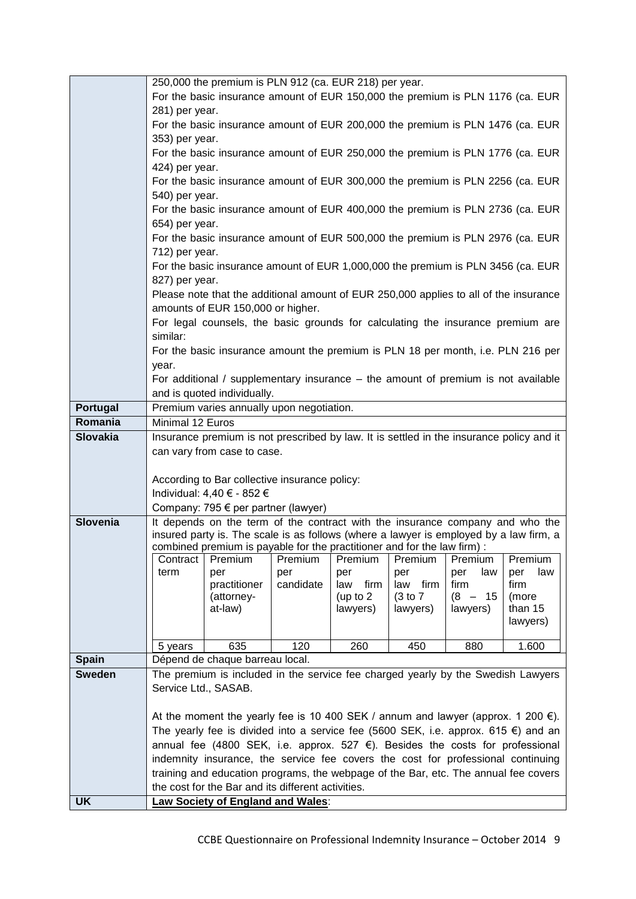|                 |                      | 250,000 the premium is PLN 912 (ca. EUR 218) per year.                                       |                |                |                |                |                       |
|-----------------|----------------------|----------------------------------------------------------------------------------------------|----------------|----------------|----------------|----------------|-----------------------|
|                 |                      | For the basic insurance amount of EUR 150,000 the premium is PLN 1176 (ca. EUR               |                |                |                |                |                       |
|                 | 281) per year.       |                                                                                              |                |                |                |                |                       |
|                 |                      | For the basic insurance amount of EUR 200,000 the premium is PLN 1476 (ca. EUR               |                |                |                |                |                       |
|                 | 353) per year.       |                                                                                              |                |                |                |                |                       |
|                 |                      | For the basic insurance amount of EUR 250,000 the premium is PLN 1776 (ca. EUR               |                |                |                |                |                       |
|                 | 424) per year.       |                                                                                              |                |                |                |                |                       |
|                 |                      | For the basic insurance amount of EUR 300,000 the premium is PLN 2256 (ca. EUR               |                |                |                |                |                       |
|                 | 540) per year.       |                                                                                              |                |                |                |                |                       |
|                 |                      | For the basic insurance amount of EUR 400,000 the premium is PLN 2736 (ca. EUR               |                |                |                |                |                       |
|                 | 654) per year.       |                                                                                              |                |                |                |                |                       |
|                 |                      | For the basic insurance amount of EUR 500,000 the premium is PLN 2976 (ca. EUR               |                |                |                |                |                       |
|                 | 712) per year.       | For the basic insurance amount of EUR 1,000,000 the premium is PLN 3456 (ca. EUR             |                |                |                |                |                       |
|                 | 827) per year.       |                                                                                              |                |                |                |                |                       |
|                 |                      | Please note that the additional amount of EUR 250,000 applies to all of the insurance        |                |                |                |                |                       |
|                 |                      | amounts of EUR 150,000 or higher.                                                            |                |                |                |                |                       |
|                 |                      | For legal counsels, the basic grounds for calculating the insurance premium are              |                |                |                |                |                       |
|                 | similar:             |                                                                                              |                |                |                |                |                       |
|                 |                      | For the basic insurance amount the premium is PLN 18 per month, i.e. PLN 216 per             |                |                |                |                |                       |
|                 | year.                |                                                                                              |                |                |                |                |                       |
|                 |                      | For additional / supplementary insurance – the amount of premium is not available            |                |                |                |                |                       |
|                 |                      | and is quoted individually.                                                                  |                |                |                |                |                       |
| Portugal        |                      | Premium varies annually upon negotiation.                                                    |                |                |                |                |                       |
| Romania         | Minimal 12 Euros     |                                                                                              |                |                |                |                |                       |
| <b>Slovakia</b> |                      | Insurance premium is not prescribed by law. It is settled in the insurance policy and it     |                |                |                |                |                       |
|                 |                      | can vary from case to case.                                                                  |                |                |                |                |                       |
|                 |                      | According to Bar collective insurance policy:                                                |                |                |                |                |                       |
|                 |                      | Individual: 4,40 € - 852 €                                                                   |                |                |                |                |                       |
|                 |                      | Company: 795 € per partner (lawyer)                                                          |                |                |                |                |                       |
| Slovenia        |                      | It depends on the term of the contract with the insurance company and who the                |                |                |                |                |                       |
|                 |                      | insured party is. The scale is as follows (where a lawyer is employed by a law firm, a       |                |                |                |                |                       |
|                 |                      | combined premium is payable for the practitioner and for the law firm) :                     |                |                |                |                |                       |
|                 | Contract<br>term     | Premium<br>per                                                                               | Premium<br>per | Premium<br>per | Premium<br>per | Premium<br>law | Premium<br>per<br>law |
|                 |                      | practitioner                                                                                 | candidate      | firm<br>law    | law<br>firm    | per<br>firm    | firm                  |
|                 |                      | (attorney-                                                                                   |                | (up to $2$     | (3 to 7)       | $(8 - 15)$     | (more                 |
|                 |                      | at-law)                                                                                      |                | lawyers)       | lawyers)       | lawyers)       | than 15               |
|                 |                      |                                                                                              |                |                |                |                | lawyers)              |
|                 | 5 years              | 635                                                                                          | 120            | 260            | 450            | 880            | 1.600                 |
| <b>Spain</b>    |                      | Dépend de chaque barreau local.                                                              |                |                |                |                |                       |
| <b>Sweden</b>   |                      | The premium is included in the service fee charged yearly by the Swedish Lawyers             |                |                |                |                |                       |
|                 | Service Ltd., SASAB. |                                                                                              |                |                |                |                |                       |
|                 |                      |                                                                                              |                |                |                |                |                       |
|                 |                      | At the moment the yearly fee is 10 400 SEK / annum and lawyer (approx. 1 200 $\epsilon$ ).   |                |                |                |                |                       |
|                 |                      | The yearly fee is divided into a service fee (5600 SEK, i.e. approx. 615 $\epsilon$ ) and an |                |                |                |                |                       |
|                 |                      | annual fee (4800 SEK, i.e. approx. 527 €). Besides the costs for professional                |                |                |                |                |                       |
|                 |                      | indemnity insurance, the service fee covers the cost for professional continuing             |                |                |                |                |                       |
|                 |                      | training and education programs, the webpage of the Bar, etc. The annual fee covers          |                |                |                |                |                       |
|                 |                      | the cost for the Bar and its different activities.                                           |                |                |                |                |                       |
| <b>UK</b>       |                      | <b>Law Society of England and Wales:</b>                                                     |                |                |                |                |                       |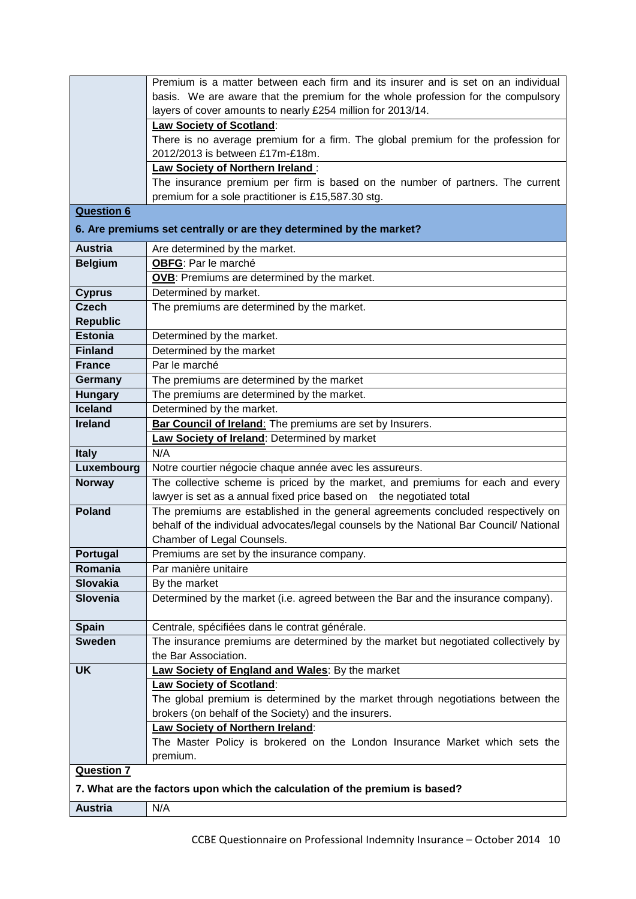|                   | Premium is a matter between each firm and its insurer and is set on an individual       |  |  |  |
|-------------------|-----------------------------------------------------------------------------------------|--|--|--|
|                   | basis. We are aware that the premium for the whole profession for the compulsory        |  |  |  |
|                   | layers of cover amounts to nearly £254 million for 2013/14.                             |  |  |  |
|                   | Law Society of Scotland:                                                                |  |  |  |
|                   | There is no average premium for a firm. The global premium for the profession for       |  |  |  |
|                   | 2012/2013 is between £17m-£18m.                                                         |  |  |  |
|                   | Law Society of Northern Ireland:                                                        |  |  |  |
|                   | The insurance premium per firm is based on the number of partners. The current          |  |  |  |
|                   | premium for a sole practitioner is £15,587.30 stg.                                      |  |  |  |
| <b>Question 6</b> |                                                                                         |  |  |  |
|                   | 6. Are premiums set centrally or are they determined by the market?                     |  |  |  |
|                   |                                                                                         |  |  |  |
| <b>Austria</b>    | Are determined by the market.                                                           |  |  |  |
| <b>Belgium</b>    | OBFG: Par le marché                                                                     |  |  |  |
|                   | OVB: Premiums are determined by the market.                                             |  |  |  |
| <b>Cyprus</b>     | Determined by market.                                                                   |  |  |  |
| <b>Czech</b>      | The premiums are determined by the market.                                              |  |  |  |
| <b>Republic</b>   |                                                                                         |  |  |  |
| <b>Estonia</b>    | Determined by the market.                                                               |  |  |  |
| <b>Finland</b>    | Determined by the market                                                                |  |  |  |
| <b>France</b>     | Par le marché                                                                           |  |  |  |
| Germany           | The premiums are determined by the market                                               |  |  |  |
| <b>Hungary</b>    | The premiums are determined by the market.                                              |  |  |  |
| Iceland           | Determined by the market.                                                               |  |  |  |
| <b>Ireland</b>    | <b>Bar Council of Ireland:</b> The premiums are set by Insurers.                        |  |  |  |
|                   | <b>Law Society of Ireland: Determined by market</b>                                     |  |  |  |
| <b>Italy</b>      | N/A                                                                                     |  |  |  |
| Luxembourg        | Notre courtier négocie chaque année avec les assureurs.                                 |  |  |  |
|                   |                                                                                         |  |  |  |
| <b>Norway</b>     | The collective scheme is priced by the market, and premiums for each and every          |  |  |  |
|                   | lawyer is set as a annual fixed price based on<br>the negotiated total                  |  |  |  |
| <b>Poland</b>     | The premiums are established in the general agreements concluded respectively on        |  |  |  |
|                   | behalf of the individual advocates/legal counsels by the National Bar Council/ National |  |  |  |
|                   | Chamber of Legal Counsels.                                                              |  |  |  |
| <b>Portugal</b>   | Premiums are set by the insurance company.                                              |  |  |  |
| Romania           | Par manière unitaire                                                                    |  |  |  |
| <b>Slovakia</b>   | By the market                                                                           |  |  |  |
| <b>Slovenia</b>   | Determined by the market (i.e. agreed between the Bar and the insurance company).       |  |  |  |
|                   |                                                                                         |  |  |  |
| <b>Spain</b>      | Centrale, spécifiées dans le contrat générale.                                          |  |  |  |
| <b>Sweden</b>     | The insurance premiums are determined by the market but negotiated collectively by      |  |  |  |
|                   | the Bar Association.                                                                    |  |  |  |
| <b>UK</b>         | <b>Law Society of England and Wales: By the market</b>                                  |  |  |  |
|                   | Law Society of Scotland:                                                                |  |  |  |
|                   | The global premium is determined by the market through negotiations between the         |  |  |  |
|                   | brokers (on behalf of the Society) and the insurers.                                    |  |  |  |
|                   | <b>Law Society of Northern Ireland:</b>                                                 |  |  |  |
|                   | The Master Policy is brokered on the London Insurance Market which sets the             |  |  |  |
|                   | premium.                                                                                |  |  |  |
| <b>Question 7</b> |                                                                                         |  |  |  |
|                   |                                                                                         |  |  |  |
| <b>Austria</b>    | 7. What are the factors upon which the calculation of the premium is based?<br>N/A      |  |  |  |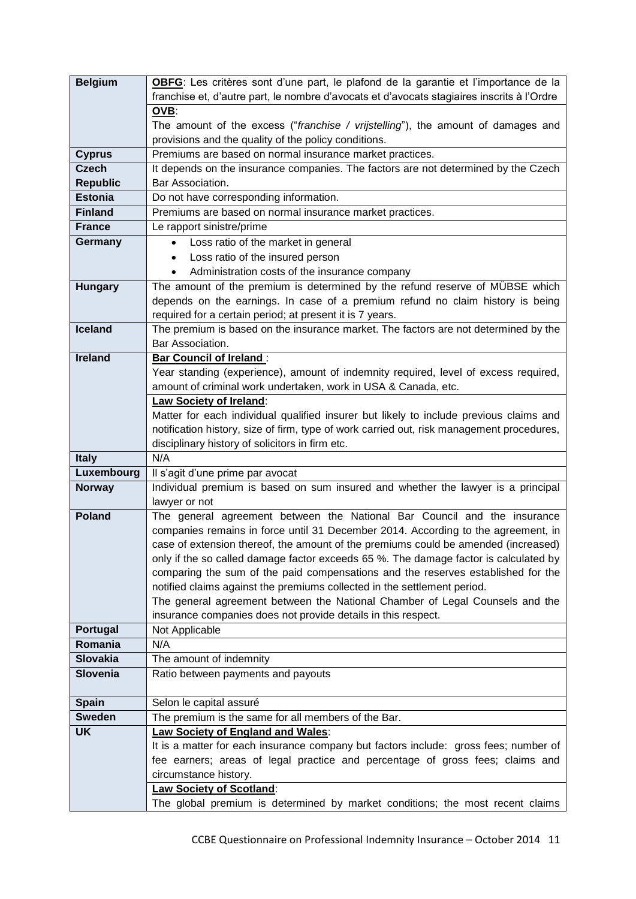| <b>Belgium</b>  | OBFG: Les critères sont d'une part, le plafond de la garantie et l'importance de la                                                           |  |  |  |
|-----------------|-----------------------------------------------------------------------------------------------------------------------------------------------|--|--|--|
|                 | franchise et, d'autre part, le nombre d'avocats et d'avocats stagiaires inscrits à l'Ordre                                                    |  |  |  |
|                 | OVB:                                                                                                                                          |  |  |  |
|                 | The amount of the excess ("franchise / vrijstelling"), the amount of damages and                                                              |  |  |  |
|                 | provisions and the quality of the policy conditions.                                                                                          |  |  |  |
| <b>Cyprus</b>   | Premiums are based on normal insurance market practices.                                                                                      |  |  |  |
| <b>Czech</b>    | It depends on the insurance companies. The factors are not determined by the Czech                                                            |  |  |  |
| <b>Republic</b> | Bar Association.                                                                                                                              |  |  |  |
| <b>Estonia</b>  | Do not have corresponding information.                                                                                                        |  |  |  |
| <b>Finland</b>  | Premiums are based on normal insurance market practices.                                                                                      |  |  |  |
| <b>France</b>   | Le rapport sinistre/prime                                                                                                                     |  |  |  |
| Germany         | Loss ratio of the market in general<br>$\bullet$                                                                                              |  |  |  |
|                 | Loss ratio of the insured person<br>$\bullet$                                                                                                 |  |  |  |
|                 | Administration costs of the insurance company                                                                                                 |  |  |  |
| <b>Hungary</b>  | The amount of the premium is determined by the refund reserve of MÜBSE which                                                                  |  |  |  |
|                 | depends on the earnings. In case of a premium refund no claim history is being                                                                |  |  |  |
|                 | required for a certain period; at present it is 7 years.                                                                                      |  |  |  |
| <b>Iceland</b>  | The premium is based on the insurance market. The factors are not determined by the<br>Bar Association.                                       |  |  |  |
| <b>Ireland</b>  |                                                                                                                                               |  |  |  |
|                 | <b>Bar Council of Ireland:</b><br>Year standing (experience), amount of indemnity required, level of excess required,                         |  |  |  |
|                 | amount of criminal work undertaken, work in USA & Canada, etc.                                                                                |  |  |  |
|                 | Law Society of Ireland:                                                                                                                       |  |  |  |
|                 | Matter for each individual qualified insurer but likely to include previous claims and                                                        |  |  |  |
|                 | notification history, size of firm, type of work carried out, risk management procedures,                                                     |  |  |  |
|                 | disciplinary history of solicitors in firm etc.                                                                                               |  |  |  |
| <b>Italy</b>    | N/A                                                                                                                                           |  |  |  |
| Luxembourg      | Il s'agit d'une prime par avocat                                                                                                              |  |  |  |
| <b>Norway</b>   | Individual premium is based on sum insured and whether the lawyer is a principal                                                              |  |  |  |
|                 | lawyer or not                                                                                                                                 |  |  |  |
| <b>Poland</b>   | The general agreement between the National Bar Council and the insurance                                                                      |  |  |  |
|                 | companies remains in force until 31 December 2014. According to the agreement, in                                                             |  |  |  |
|                 | case of extension thereof, the amount of the premiums could be amended (increased)                                                            |  |  |  |
|                 | only if the so called damage factor exceeds 65 %. The damage factor is calculated by                                                          |  |  |  |
|                 | comparing the sum of the paid compensations and the reserves established for the                                                              |  |  |  |
|                 | notified claims against the premiums collected in the settlement period.                                                                      |  |  |  |
|                 | The general agreement between the National Chamber of Legal Counsels and the<br>insurance companies does not provide details in this respect. |  |  |  |
| Portugal        | Not Applicable                                                                                                                                |  |  |  |
| Romania         | N/A                                                                                                                                           |  |  |  |
| <b>Slovakia</b> | The amount of indemnity                                                                                                                       |  |  |  |
| <b>Slovenia</b> | Ratio between payments and payouts                                                                                                            |  |  |  |
|                 |                                                                                                                                               |  |  |  |
| <b>Spain</b>    | Selon le capital assuré                                                                                                                       |  |  |  |
| <b>Sweden</b>   | The premium is the same for all members of the Bar.                                                                                           |  |  |  |
| <b>UK</b>       | Law Society of England and Wales:                                                                                                             |  |  |  |
|                 | It is a matter for each insurance company but factors include: gross fees; number of                                                          |  |  |  |
|                 | fee earners; areas of legal practice and percentage of gross fees; claims and                                                                 |  |  |  |
|                 | circumstance history.                                                                                                                         |  |  |  |
|                 | <b>Law Society of Scotland:</b>                                                                                                               |  |  |  |
|                 | The global premium is determined by market conditions; the most recent claims                                                                 |  |  |  |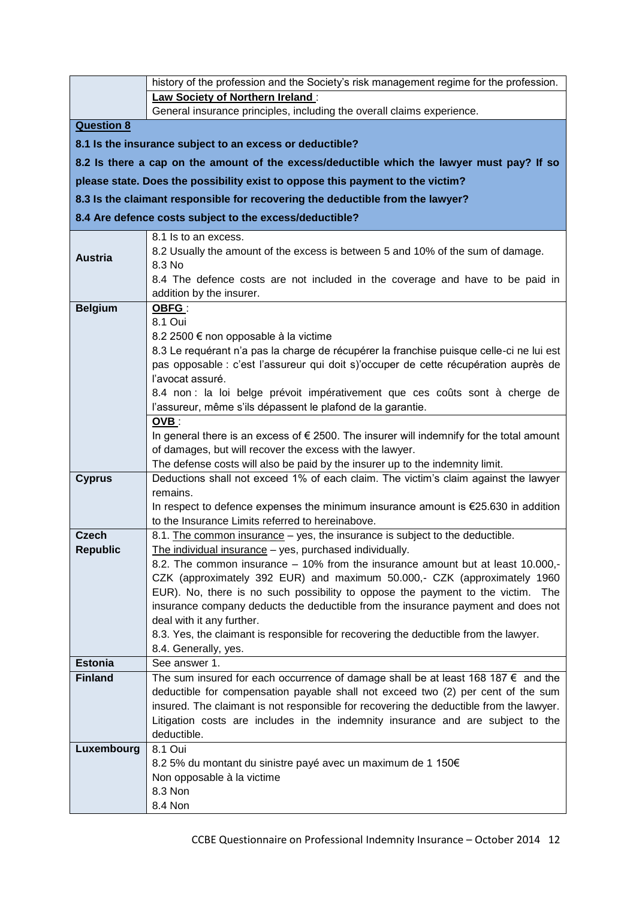|                   | history of the profession and the Society's risk management regime for the profession.                                                                                      |
|-------------------|-----------------------------------------------------------------------------------------------------------------------------------------------------------------------------|
|                   | Law Society of Northern Ireland:                                                                                                                                            |
|                   | General insurance principles, including the overall claims experience.                                                                                                      |
| <b>Question 8</b> |                                                                                                                                                                             |
|                   | 8.1 Is the insurance subject to an excess or deductible?                                                                                                                    |
|                   | 8.2 Is there a cap on the amount of the excess/deductible which the lawyer must pay? If so                                                                                  |
|                   | please state. Does the possibility exist to oppose this payment to the victim?                                                                                              |
|                   | 8.3 Is the claimant responsible for recovering the deductible from the lawyer?                                                                                              |
|                   | 8.4 Are defence costs subject to the excess/deductible?                                                                                                                     |
|                   | 8.1 Is to an excess.                                                                                                                                                        |
| <b>Austria</b>    | 8.2 Usually the amount of the excess is between 5 and 10% of the sum of damage.<br>8.3 No                                                                                   |
|                   | 8.4 The defence costs are not included in the coverage and have to be paid in                                                                                               |
|                   | addition by the insurer.                                                                                                                                                    |
| <b>Belgium</b>    | OBFG:                                                                                                                                                                       |
|                   | 8.1 Oui                                                                                                                                                                     |
|                   | 8.2 2500 € non opposable à la victime                                                                                                                                       |
|                   | 8.3 Le requérant n'a pas la charge de récupérer la franchise puisque celle-ci ne lui est                                                                                    |
|                   | pas opposable : c'est l'assureur qui doit s)'occuper de cette récupération auprès de<br>l'avocat assuré.                                                                    |
|                   | 8.4 non : la loi belge prévoit impérativement que ces coûts sont à cherge de                                                                                                |
|                   | l'assureur, même s'ils dépassent le plafond de la garantie.                                                                                                                 |
|                   | OVB:                                                                                                                                                                        |
|                   | In general there is an excess of $\epsilon$ 2500. The insurer will indemnify for the total amount                                                                           |
|                   | of damages, but will recover the excess with the lawyer.                                                                                                                    |
|                   | The defense costs will also be paid by the insurer up to the indemnity limit.                                                                                               |
| <b>Cyprus</b>     | Deductions shall not exceed 1% of each claim. The victim's claim against the lawyer<br>remains.                                                                             |
|                   | In respect to defence expenses the minimum insurance amount is $E$ 25.630 in addition                                                                                       |
|                   | to the Insurance Limits referred to hereinabove.                                                                                                                            |
| Czech             | 8.1. The common insurance - yes, the insurance is subject to the deductible.                                                                                                |
| <b>Republic</b>   | The individual insurance - yes, purchased individually.                                                                                                                     |
|                   | 8.2. The common insurance - 10% from the insurance amount but at least 10.000,-                                                                                             |
|                   | CZK (approximately 392 EUR) and maximum 50.000,- CZK (approximately 1960<br>EUR). No, there is no such possibility to oppose the payment to the victim.<br>The              |
|                   | insurance company deducts the deductible from the insurance payment and does not                                                                                            |
|                   | deal with it any further.                                                                                                                                                   |
|                   | 8.3. Yes, the claimant is responsible for recovering the deductible from the lawyer.                                                                                        |
|                   | 8.4. Generally, yes.                                                                                                                                                        |
| <b>Estonia</b>    | See answer 1.                                                                                                                                                               |
| <b>Finland</b>    | The sum insured for each occurrence of damage shall be at least 168 187 $\epsilon$ and the                                                                                  |
|                   | deductible for compensation payable shall not exceed two (2) per cent of the sum<br>insured. The claimant is not responsible for recovering the deductible from the lawyer. |
|                   | Litigation costs are includes in the indemnity insurance and are subject to the                                                                                             |
|                   | deductible.                                                                                                                                                                 |
| Luxembourg        | 8.1 Oui                                                                                                                                                                     |
|                   | 8.2 5% du montant du sinistre payé avec un maximum de 1 150€                                                                                                                |
|                   | Non opposable à la victime                                                                                                                                                  |
|                   | 8.3 Non                                                                                                                                                                     |
|                   | 8.4 Non                                                                                                                                                                     |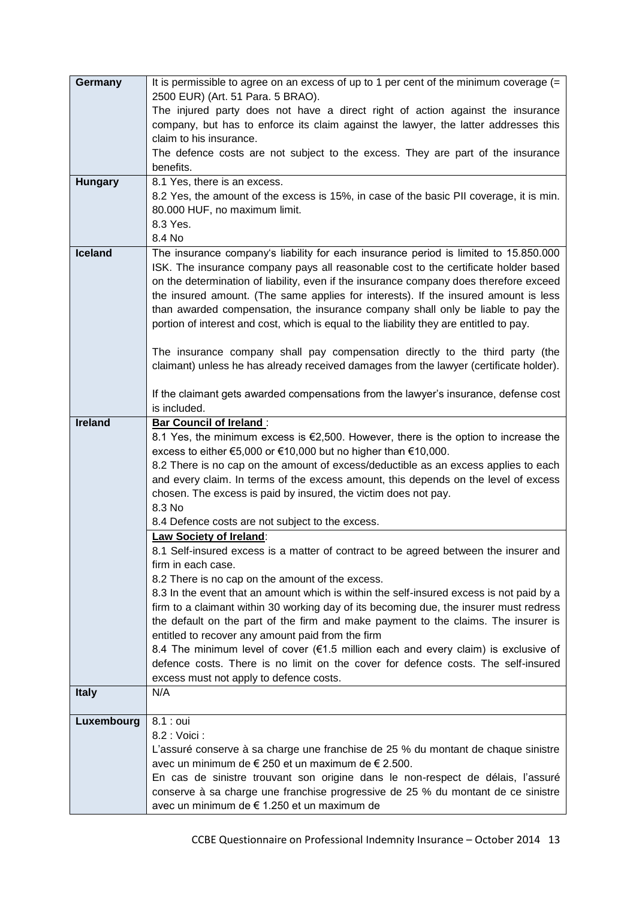| Germany        | It is permissible to agree on an excess of up to 1 per cent of the minimum coverage (=                                          |
|----------------|---------------------------------------------------------------------------------------------------------------------------------|
|                | 2500 EUR) (Art. 51 Para. 5 BRAO).                                                                                               |
|                | The injured party does not have a direct right of action against the insurance                                                  |
|                | company, but has to enforce its claim against the lawyer, the latter addresses this                                             |
|                | claim to his insurance.                                                                                                         |
|                | The defence costs are not subject to the excess. They are part of the insurance                                                 |
|                | benefits.                                                                                                                       |
| <b>Hungary</b> | 8.1 Yes, there is an excess.                                                                                                    |
|                | 8.2 Yes, the amount of the excess is 15%, in case of the basic PII coverage, it is min.                                         |
|                | 80.000 HUF, no maximum limit.                                                                                                   |
|                | 8.3 Yes.                                                                                                                        |
|                | 8.4 No                                                                                                                          |
| <b>Iceland</b> | The insurance company's liability for each insurance period is limited to 15.850.000                                            |
|                | ISK. The insurance company pays all reasonable cost to the certificate holder based                                             |
|                | on the determination of liability, even if the insurance company does therefore exceed                                          |
|                | the insured amount. (The same applies for interests). If the insured amount is less                                             |
|                | than awarded compensation, the insurance company shall only be liable to pay the                                                |
|                | portion of interest and cost, which is equal to the liability they are entitled to pay.                                         |
|                |                                                                                                                                 |
|                | The insurance company shall pay compensation directly to the third party (the                                                   |
|                | claimant) unless he has already received damages from the lawyer (certificate holder).                                          |
|                | If the claimant gets awarded compensations from the lawyer's insurance, defense cost                                            |
|                | is included.                                                                                                                    |
| <b>Ireland</b> |                                                                                                                                 |
|                | <b>Bar Council of Ireland:</b><br>8.1 Yes, the minimum excess is $\epsilon$ 2,500. However, there is the option to increase the |
|                | excess to either €5,000 or €10,000 but no higher than €10,000.                                                                  |
|                | 8.2 There is no cap on the amount of excess/deductible as an excess applies to each                                             |
|                | and every claim. In terms of the excess amount, this depends on the level of excess                                             |
|                | chosen. The excess is paid by insured, the victim does not pay.                                                                 |
|                | 8.3 No                                                                                                                          |
|                | 8.4 Defence costs are not subject to the excess.                                                                                |
|                | <b>Law Society of Ireland:</b>                                                                                                  |
|                | 8.1 Self-insured excess is a matter of contract to be agreed between the insurer and                                            |
|                | firm in each case.                                                                                                              |
|                | 8.2 There is no cap on the amount of the excess.                                                                                |
|                | 8.3 In the event that an amount which is within the self-insured excess is not paid by a                                        |
|                | firm to a claimant within 30 working day of its becoming due, the insurer must redress                                          |
|                | the default on the part of the firm and make payment to the claims. The insurer is                                              |
|                | entitled to recover any amount paid from the firm                                                                               |
|                | 8.4 The minimum level of cover (€1.5 million each and every claim) is exclusive of                                              |
|                | defence costs. There is no limit on the cover for defence costs. The self-insured                                               |
|                | excess must not apply to defence costs.                                                                                         |
| <b>Italy</b>   | N/A                                                                                                                             |
|                |                                                                                                                                 |
| Luxembourg     | 8.1 : oui                                                                                                                       |
|                | 8.2 : Voici :                                                                                                                   |
|                | L'assuré conserve à sa charge une franchise de 25 % du montant de chaque sinistre                                               |
|                | avec un minimum de € 250 et un maximum de € 2.500.                                                                              |
|                | En cas de sinistre trouvant son origine dans le non-respect de délais, l'assuré                                                 |
|                | conserve à sa charge une franchise progressive de 25 % du montant de ce sinistre                                                |
|                | avec un minimum de € 1.250 et un maximum de                                                                                     |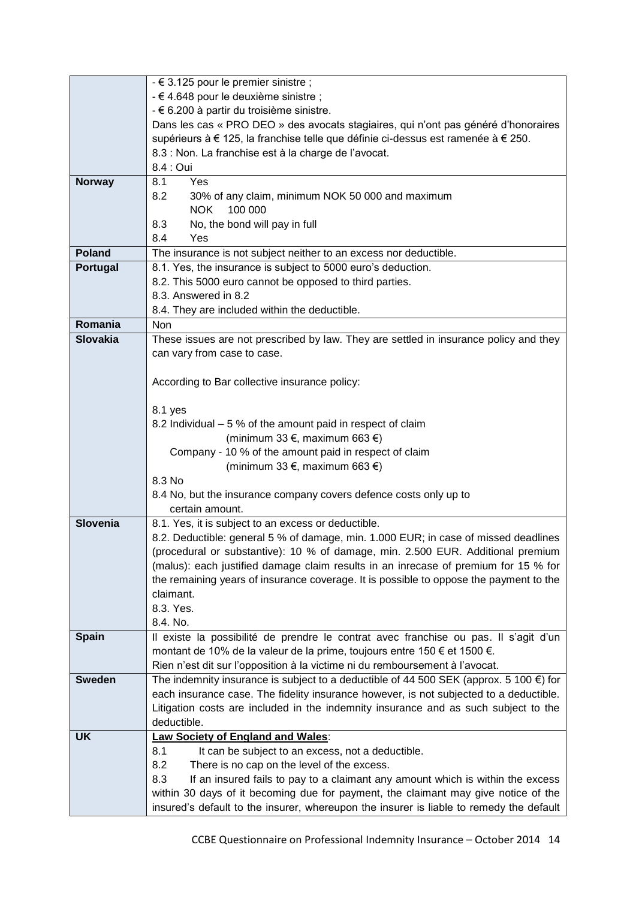|                 | $-6$ 3.125 pour le premier sinistre ;                                                               |
|-----------------|-----------------------------------------------------------------------------------------------------|
|                 | - € 4.648 pour le deuxième sinistre ;                                                               |
|                 | - € 6.200 à partir du troisième sinistre.                                                           |
|                 | Dans les cas « PRO DEO » des avocats stagiaires, qui n'ont pas généré d'honoraires                  |
|                 | supérieurs à € 125, la franchise telle que définie ci-dessus est ramenée à € 250.                   |
|                 | 8.3 : Non. La franchise est à la charge de l'avocat.                                                |
|                 | 8.4 : Oui                                                                                           |
| <b>Norway</b>   | Yes<br>8.1                                                                                          |
|                 | 8.2<br>30% of any claim, minimum NOK 50 000 and maximum                                             |
|                 | <b>NOK</b><br>100 000                                                                               |
|                 | No, the bond will pay in full<br>8.3                                                                |
|                 | 8.4<br>Yes                                                                                          |
| <b>Poland</b>   | The insurance is not subject neither to an excess nor deductible.                                   |
| Portugal        | 8.1. Yes, the insurance is subject to 5000 euro's deduction.                                        |
|                 | 8.2. This 5000 euro cannot be opposed to third parties.                                             |
|                 | 8.3. Answered in 8.2                                                                                |
|                 | 8.4. They are included within the deductible.                                                       |
| Romania         | Non                                                                                                 |
| <b>Slovakia</b> | These issues are not prescribed by law. They are settled in insurance policy and they               |
|                 | can vary from case to case.                                                                         |
|                 |                                                                                                     |
|                 | According to Bar collective insurance policy:                                                       |
|                 |                                                                                                     |
|                 | 8.1 yes                                                                                             |
|                 | 8.2 Individual – 5 % of the amount paid in respect of claim                                         |
|                 | (minimum 33 €, maximum 663 €)                                                                       |
|                 | Company - 10 % of the amount paid in respect of claim                                               |
|                 | (minimum 33 €, maximum 663 €)                                                                       |
|                 | 8.3 No                                                                                              |
|                 | 8.4 No, but the insurance company covers defence costs only up to                                   |
|                 | certain amount.                                                                                     |
| <b>Slovenia</b> | 8.1. Yes, it is subject to an excess or deductible.                                                 |
|                 | 8.2. Deductible: general 5 % of damage, min. 1.000 EUR; in case of missed deadlines                 |
|                 | (procedural or substantive): 10 % of damage, min. 2.500 EUR. Additional premium                     |
|                 | (malus): each justified damage claim results in an inrecase of premium for 15 % for                 |
|                 | the remaining years of insurance coverage. It is possible to oppose the payment to the<br>claimant. |
|                 | 8.3. Yes.                                                                                           |
|                 | 8.4. No.                                                                                            |
| <b>Spain</b>    | Il existe la possibilité de prendre le contrat avec franchise ou pas. Il s'agit d'un                |
|                 | montant de 10% de la valeur de la prime, toujours entre 150 € et 1500 €.                            |
|                 | Rien n'est dit sur l'opposition à la victime ni du remboursement à l'avocat.                        |
| <b>Sweden</b>   | The indemnity insurance is subject to a deductible of 44 500 SEK (approx. 5 100 $\epsilon$ ) for    |
|                 | each insurance case. The fidelity insurance however, is not subjected to a deductible.              |
|                 | Litigation costs are included in the indemnity insurance and as such subject to the                 |
|                 | deductible.                                                                                         |
| <b>UK</b>       | <b>Law Society of England and Wales:</b>                                                            |
|                 | 8.1<br>It can be subject to an excess, not a deductible.                                            |
|                 | 8.2<br>There is no cap on the level of the excess.                                                  |
|                 | 8.3<br>If an insured fails to pay to a claimant any amount which is within the excess               |
|                 | within 30 days of it becoming due for payment, the claimant may give notice of the                  |
|                 | insured's default to the insurer, whereupon the insurer is liable to remedy the default             |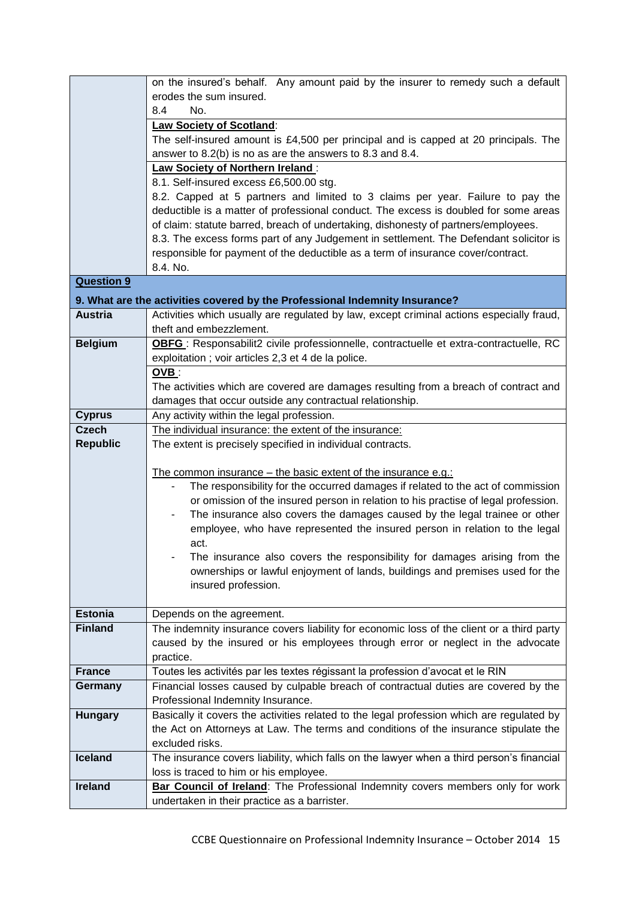|                   | on the insured's behalf. Any amount paid by the insurer to remedy such a default          |
|-------------------|-------------------------------------------------------------------------------------------|
|                   | erodes the sum insured.                                                                   |
|                   | No.<br>8.4                                                                                |
|                   | <b>Law Society of Scotland:</b>                                                           |
|                   | The self-insured amount is $£4,500$ per principal and is capped at 20 principals. The     |
|                   | answer to 8.2(b) is no as are the answers to 8.3 and 8.4.                                 |
|                   | <b>Law Society of Northern Ireland:</b>                                                   |
|                   | 8.1. Self-insured excess £6,500.00 stg.                                                   |
|                   | 8.2. Capped at 5 partners and limited to 3 claims per year. Failure to pay the            |
|                   | deductible is a matter of professional conduct. The excess is doubled for some areas      |
|                   | of claim: statute barred, breach of undertaking, dishonesty of partners/employees.        |
|                   | 8.3. The excess forms part of any Judgement in settlement. The Defendant solicitor is     |
|                   | responsible for payment of the deductible as a term of insurance cover/contract.          |
|                   | 8.4. No.                                                                                  |
| <b>Question 9</b> |                                                                                           |
|                   | 9. What are the activities covered by the Professional Indemnity Insurance?               |
| <b>Austria</b>    | Activities which usually are regulated by law, except criminal actions especially fraud,  |
|                   | theft and embezzlement.                                                                   |
| <b>Belgium</b>    | OBFG: Responsabilit2 civile professionnelle, contractuelle et extra-contractuelle, RC     |
|                   | exploitation; voir articles 2,3 et 4 de la police.                                        |
|                   | OVB:                                                                                      |
|                   | The activities which are covered are damages resulting from a breach of contract and      |
|                   | damages that occur outside any contractual relationship.                                  |
| <b>Cyprus</b>     | Any activity within the legal profession.                                                 |
| <b>Czech</b>      | The individual insurance: the extent of the insurance:                                    |
| <b>Republic</b>   | The extent is precisely specified in individual contracts.                                |
|                   |                                                                                           |
|                   | The common insurance – the basic extent of the insurance e.g.:                            |
|                   | The responsibility for the occurred damages if related to the act of commission           |
|                   | or omission of the insured person in relation to his practise of legal profession.        |
|                   | The insurance also covers the damages caused by the legal trainee or other                |
|                   | employee, who have represented the insured person in relation to the legal                |
|                   | act.<br>The insurance also covers the responsibility for damages arising from the         |
|                   | ownerships or lawful enjoyment of lands, buildings and premises used for the              |
|                   | insured profession.                                                                       |
|                   |                                                                                           |
| <b>Estonia</b>    | Depends on the agreement.                                                                 |
| <b>Finland</b>    | The indemnity insurance covers liability for economic loss of the client or a third party |
|                   | caused by the insured or his employees through error or neglect in the advocate           |
|                   | practice.                                                                                 |
| <b>France</b>     | Toutes les activités par les textes régissant la profession d'avocat et le RIN            |
| Germany           | Financial losses caused by culpable breach of contractual duties are covered by the       |
|                   | Professional Indemnity Insurance.                                                         |
| <b>Hungary</b>    | Basically it covers the activities related to the legal profession which are regulated by |
|                   | the Act on Attorneys at Law. The terms and conditions of the insurance stipulate the      |
|                   | excluded risks.                                                                           |
| <b>Iceland</b>    | The insurance covers liability, which falls on the lawyer when a third person's financial |
|                   | loss is traced to him or his employee.                                                    |
| <b>Ireland</b>    | Bar Council of Ireland: The Professional Indemnity covers members only for work           |
|                   | undertaken in their practice as a barrister.                                              |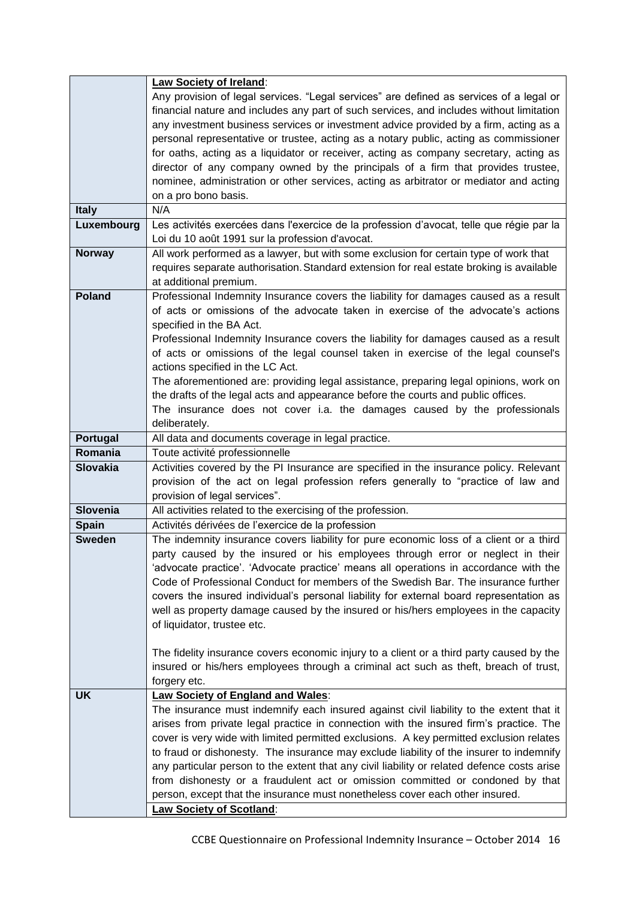|                 | Law Society of Ireland:                                                                                                                                       |
|-----------------|---------------------------------------------------------------------------------------------------------------------------------------------------------------|
|                 | Any provision of legal services. "Legal services" are defined as services of a legal or                                                                       |
|                 | financial nature and includes any part of such services, and includes without limitation                                                                      |
|                 | any investment business services or investment advice provided by a firm, acting as a                                                                         |
|                 | personal representative or trustee, acting as a notary public, acting as commissioner                                                                         |
|                 | for oaths, acting as a liquidator or receiver, acting as company secretary, acting as                                                                         |
|                 | director of any company owned by the principals of a firm that provides trustee,                                                                              |
|                 | nominee, administration or other services, acting as arbitrator or mediator and acting                                                                        |
|                 | on a pro bono basis.                                                                                                                                          |
| <b>Italy</b>    | N/A                                                                                                                                                           |
| Luxembourg      | Les activités exercées dans l'exercice de la profession d'avocat, telle que régie par la                                                                      |
|                 | Loi du 10 août 1991 sur la profession d'avocat.                                                                                                               |
| <b>Norway</b>   | All work performed as a lawyer, but with some exclusion for certain type of work that                                                                         |
|                 | requires separate authorisation. Standard extension for real estate broking is available                                                                      |
| <b>Poland</b>   | at additional premium.                                                                                                                                        |
|                 | Professional Indemnity Insurance covers the liability for damages caused as a result                                                                          |
|                 | of acts or omissions of the advocate taken in exercise of the advocate's actions<br>specified in the BA Act.                                                  |
|                 | Professional Indemnity Insurance covers the liability for damages caused as a result                                                                          |
|                 | of acts or omissions of the legal counsel taken in exercise of the legal counsel's                                                                            |
|                 | actions specified in the LC Act.                                                                                                                              |
|                 | The aforementioned are: providing legal assistance, preparing legal opinions, work on                                                                         |
|                 | the drafts of the legal acts and appearance before the courts and public offices.                                                                             |
|                 | The insurance does not cover i.a. the damages caused by the professionals                                                                                     |
|                 | deliberately.                                                                                                                                                 |
| <b>Portugal</b> | All data and documents coverage in legal practice.                                                                                                            |
| Romania         | Toute activité professionnelle                                                                                                                                |
|                 |                                                                                                                                                               |
| <b>Slovakia</b> | Activities covered by the PI Insurance are specified in the insurance policy. Relevant                                                                        |
|                 | provision of the act on legal profession refers generally to "practice of law and                                                                             |
|                 | provision of legal services".                                                                                                                                 |
| Slovenia        | All activities related to the exercising of the profession.                                                                                                   |
| <b>Spain</b>    | Activités dérivées de l'exercice de la profession                                                                                                             |
| <b>Sweden</b>   | The indemnity insurance covers liability for pure economic loss of a client or a third                                                                        |
|                 | party caused by the insured or his employees through error or neglect in their                                                                                |
|                 | 'advocate practice'. 'Advocate practice' means all operations in accordance with the                                                                          |
|                 | Code of Professional Conduct for members of the Swedish Bar. The insurance further                                                                            |
|                 | covers the insured individual's personal liability for external board representation as                                                                       |
|                 | well as property damage caused by the insured or his/hers employees in the capacity                                                                           |
|                 | of liquidator, trustee etc.                                                                                                                                   |
|                 |                                                                                                                                                               |
|                 | The fidelity insurance covers economic injury to a client or a third party caused by the                                                                      |
|                 | insured or his/hers employees through a criminal act such as theft, breach of trust,                                                                          |
|                 | forgery etc.                                                                                                                                                  |
| <b>UK</b>       | <b>Law Society of England and Wales:</b>                                                                                                                      |
|                 | The insurance must indemnify each insured against civil liability to the extent that it                                                                       |
|                 | arises from private legal practice in connection with the insured firm's practice. The                                                                        |
|                 | cover is very wide with limited permitted exclusions. A key permitted exclusion relates                                                                       |
|                 | to fraud or dishonesty. The insurance may exclude liability of the insurer to indemnify                                                                       |
|                 | any particular person to the extent that any civil liability or related defence costs arise                                                                   |
|                 | from dishonesty or a fraudulent act or omission committed or condoned by that<br>person, except that the insurance must nonetheless cover each other insured. |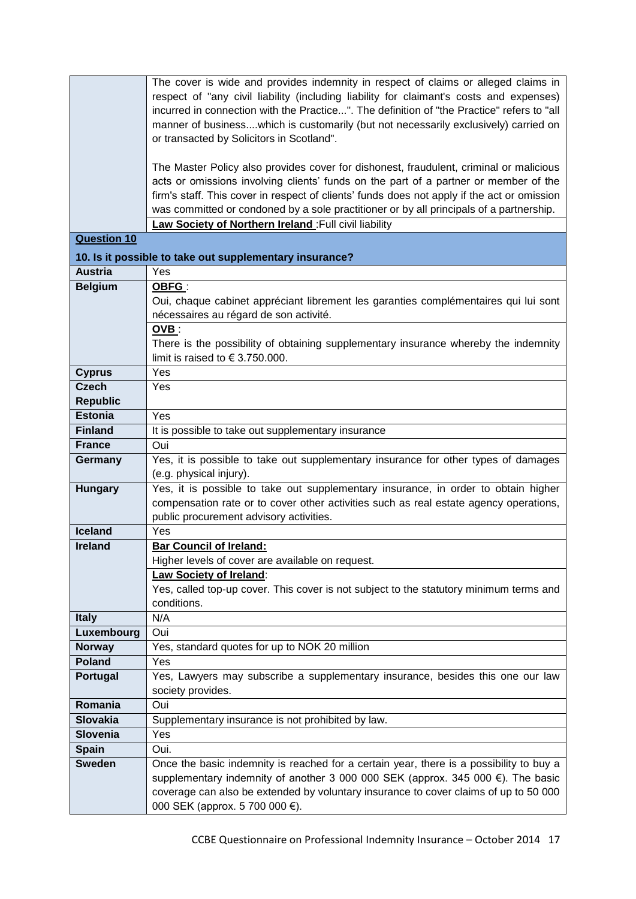|                                   | The cover is wide and provides indemnity in respect of claims or alleged claims in          |
|-----------------------------------|---------------------------------------------------------------------------------------------|
|                                   | respect of "any civil liability (including liability for claimant's costs and expenses)     |
|                                   | incurred in connection with the Practice". The definition of "the Practice" refers to "all  |
|                                   | manner of businesswhich is customarily (but not necessarily exclusively) carried on         |
|                                   | or transacted by Solicitors in Scotland".                                                   |
|                                   |                                                                                             |
|                                   | The Master Policy also provides cover for dishonest, fraudulent, criminal or malicious      |
|                                   | acts or omissions involving clients' funds on the part of a partner or member of the        |
|                                   | firm's staff. This cover in respect of clients' funds does not apply if the act or omission |
|                                   | was committed or condoned by a sole practitioner or by all principals of a partnership.     |
|                                   | Law Society of Northern Ireland : Full civil liability                                      |
| <b>Question 10</b>                |                                                                                             |
|                                   |                                                                                             |
|                                   | 10. Is it possible to take out supplementary insurance?                                     |
| <b>Austria</b>                    | Yes                                                                                         |
| <b>Belgium</b>                    | OBFG:                                                                                       |
|                                   | Oui, chaque cabinet appréciant librement les garanties complémentaires qui lui sont         |
|                                   | nécessaires au régard de son activité.                                                      |
|                                   | OVB:                                                                                        |
|                                   | There is the possibility of obtaining supplementary insurance whereby the indemnity         |
|                                   | limit is raised to $\in$ 3.750.000.                                                         |
| <b>Cyprus</b>                     | Yes                                                                                         |
| <b>Czech</b>                      | Yes                                                                                         |
| <b>Republic</b><br><b>Estonia</b> |                                                                                             |
|                                   | Yes                                                                                         |
| <b>Finland</b><br>France          | It is possible to take out supplementary insurance                                          |
|                                   | Oui<br>Yes, it is possible to take out supplementary insurance for other types of damages   |
| Germany                           | (e.g. physical injury).                                                                     |
| <b>Hungary</b>                    | Yes, it is possible to take out supplementary insurance, in order to obtain higher          |
|                                   | compensation rate or to cover other activities such as real estate agency operations,       |
|                                   | public procurement advisory activities.                                                     |
| <b>Iceland</b>                    | Yes                                                                                         |
| <b>Ireland</b>                    | <b>Bar Council of Ireland:</b>                                                              |
|                                   | Higher levels of cover are available on request.                                            |
|                                   | <b>Law Society of Ireland:</b>                                                              |
|                                   | Yes, called top-up cover. This cover is not subject to the statutory minimum terms and      |
|                                   | conditions.                                                                                 |
| <b>Italy</b>                      | N/A                                                                                         |
| Luxembourg                        | Oui                                                                                         |
| <b>Norway</b>                     | Yes, standard quotes for up to NOK 20 million                                               |
| <b>Poland</b>                     | Yes                                                                                         |
| Portugal                          | Yes, Lawyers may subscribe a supplementary insurance, besides this one our law              |
|                                   | society provides.                                                                           |
| Romania                           | Oui                                                                                         |
| <b>Slovakia</b>                   | Supplementary insurance is not prohibited by law.                                           |
| <b>Slovenia</b>                   | Yes                                                                                         |
| <b>Spain</b>                      | Oui.                                                                                        |
| <b>Sweden</b>                     | Once the basic indemnity is reached for a certain year, there is a possibility to buy a     |
|                                   | supplementary indemnity of another 3 000 000 SEK (approx. 345 000 €). The basic             |
|                                   | coverage can also be extended by voluntary insurance to cover claims of up to 50 000        |
|                                   | 000 SEK (approx. 5 700 000 €).                                                              |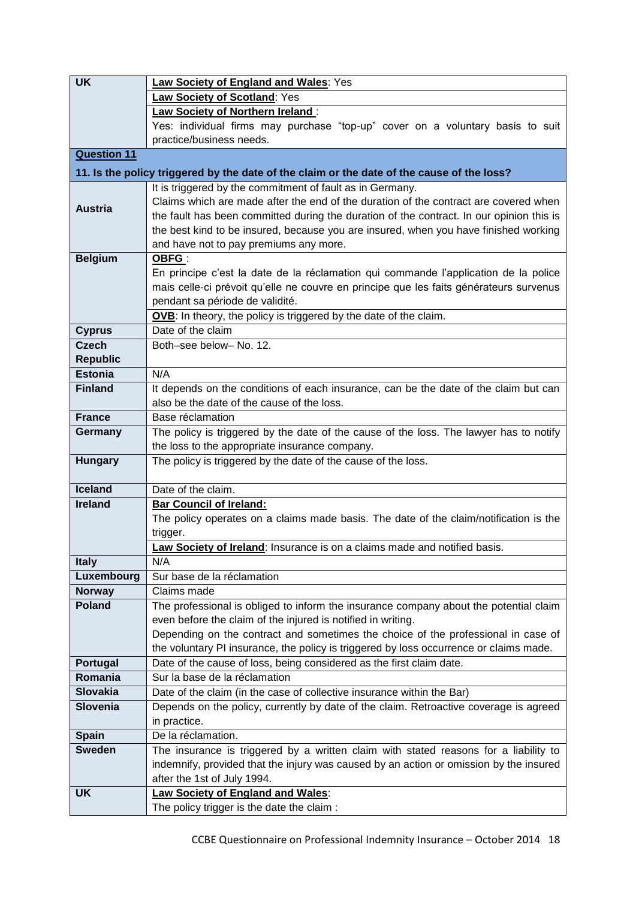| <b>UK</b>          | Law Society of England and Wales: Yes                                                      |
|--------------------|--------------------------------------------------------------------------------------------|
|                    | Law Society of Scotland: Yes                                                               |
|                    | <b>Law Society of Northern Ireland:</b>                                                    |
|                    | Yes: individual firms may purchase "top-up" cover on a voluntary basis to suit             |
|                    | practice/business needs.                                                                   |
| <b>Question 11</b> |                                                                                            |
|                    | 11. Is the policy triggered by the date of the claim or the date of the cause of the loss? |
|                    | It is triggered by the commitment of fault as in Germany.                                  |
|                    | Claims which are made after the end of the duration of the contract are covered when       |
| <b>Austria</b>     | the fault has been committed during the duration of the contract. In our opinion this is   |
|                    | the best kind to be insured, because you are insured, when you have finished working       |
|                    | and have not to pay premiums any more.                                                     |
| <b>Belgium</b>     | <b>OBFG:</b>                                                                               |
|                    | En principe c'est la date de la réclamation qui commande l'application de la police        |
|                    | mais celle-ci prévoit qu'elle ne couvre en principe que les faits générateurs survenus     |
|                    | pendant sa période de validité.                                                            |
|                    | OVB: In theory, the policy is triggered by the date of the claim.                          |
| <b>Cyprus</b>      | Date of the claim                                                                          |
| <b>Czech</b>       | Both-see below- No. 12.                                                                    |
| <b>Republic</b>    |                                                                                            |
| <b>Estonia</b>     | N/A                                                                                        |
| <b>Finland</b>     | It depends on the conditions of each insurance, can be the date of the claim but can       |
|                    | also be the date of the cause of the loss.                                                 |
| <b>France</b>      | Base réclamation                                                                           |
| Germany            | The policy is triggered by the date of the cause of the loss. The lawyer has to notify     |
|                    | the loss to the appropriate insurance company.                                             |
| <b>Hungary</b>     | The policy is triggered by the date of the cause of the loss.                              |
|                    |                                                                                            |
| <b>Iceland</b>     | Date of the claim.                                                                         |
| <b>Ireland</b>     | <b>Bar Council of Ireland:</b>                                                             |
|                    | The policy operates on a claims made basis. The date of the claim/notification is the      |
|                    | trigger.<br>Law Society of Ireland: Insurance is on a claims made and notified basis.      |
| <b>Italy</b>       | N/A                                                                                        |
| Luxembourg         | Sur base de la réclamation                                                                 |
| <b>Norway</b>      | Claims made                                                                                |
| <b>Poland</b>      | The professional is obliged to inform the insurance company about the potential claim      |
|                    | even before the claim of the injured is notified in writing.                               |
|                    | Depending on the contract and sometimes the choice of the professional in case of          |
|                    | the voluntary PI insurance, the policy is triggered by loss occurrence or claims made.     |
| Portugal           | Date of the cause of loss, being considered as the first claim date.                       |
| Romania            | Sur la base de la réclamation                                                              |
| <b>Slovakia</b>    | Date of the claim (in the case of collective insurance within the Bar)                     |
| <b>Slovenia</b>    | Depends on the policy, currently by date of the claim. Retroactive coverage is agreed      |
|                    | in practice.                                                                               |
| <b>Spain</b>       | De la réclamation.                                                                         |
| <b>Sweden</b>      | The insurance is triggered by a written claim with stated reasons for a liability to       |
|                    | indemnify, provided that the injury was caused by an action or omission by the insured     |
|                    | after the 1st of July 1994.                                                                |
| <b>UK</b>          | <b>Law Society of England and Wales:</b>                                                   |
|                    | The policy trigger is the date the claim :                                                 |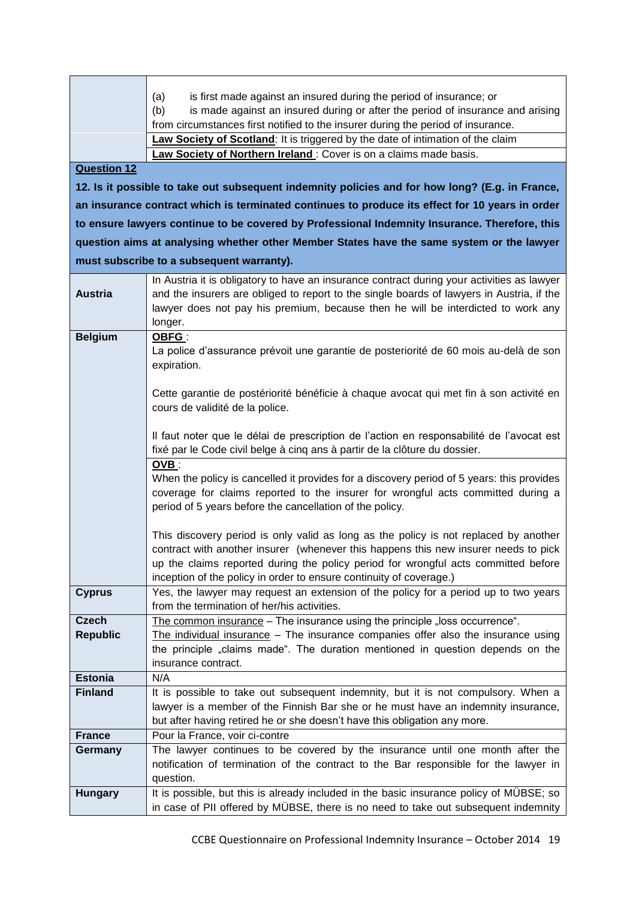|                    | is first made against an insured during the period of insurance; or<br>(a)                                                                                                    |
|--------------------|-------------------------------------------------------------------------------------------------------------------------------------------------------------------------------|
|                    | is made against an insured during or after the period of insurance and arising<br>(b)<br>from circumstances first notified to the insurer during the period of insurance.     |
|                    | Law Society of Scotland: It is triggered by the date of intimation of the claim                                                                                               |
|                    | Law Society of Northern Ireland : Cover is on a claims made basis.                                                                                                            |
| <b>Question 12</b> |                                                                                                                                                                               |
|                    |                                                                                                                                                                               |
|                    | 12. Is it possible to take out subsequent indemnity policies and for how long? (E.g. in France,                                                                               |
|                    | an insurance contract which is terminated continues to produce its effect for 10 years in order                                                                               |
|                    | to ensure lawyers continue to be covered by Professional Indemnity Insurance. Therefore, this                                                                                 |
|                    | question aims at analysing whether other Member States have the same system or the lawyer                                                                                     |
|                    | must subscribe to a subsequent warranty).                                                                                                                                     |
|                    | In Austria it is obligatory to have an insurance contract during your activities as lawyer                                                                                    |
| <b>Austria</b>     | and the insurers are obliged to report to the single boards of lawyers in Austria, if the                                                                                     |
|                    | lawyer does not pay his premium, because then he will be interdicted to work any                                                                                              |
|                    | longer.                                                                                                                                                                       |
| <b>Belgium</b>     | OBFG:                                                                                                                                                                         |
|                    | La police d'assurance prévoit une garantie de posteriorité de 60 mois au-delà de son                                                                                          |
|                    | expiration.                                                                                                                                                                   |
|                    | Cette garantie de postériorité bénéficie à chaque avocat qui met fin à son activité en                                                                                        |
|                    | cours de validité de la police.                                                                                                                                               |
|                    |                                                                                                                                                                               |
|                    | Il faut noter que le délai de prescription de l'action en responsabilité de l'avocat est                                                                                      |
|                    | fixé par le Code civil belge à cinq ans à partir de la clôture du dossier.                                                                                                    |
|                    | $OVB$ :                                                                                                                                                                       |
|                    | When the policy is cancelled it provides for a discovery period of 5 years: this provides                                                                                     |
|                    | coverage for claims reported to the insurer for wrongful acts committed during a                                                                                              |
|                    | period of 5 years before the cancellation of the policy.                                                                                                                      |
|                    | This discovery period is only valid as long as the policy is not replaced by another                                                                                          |
|                    | contract with another insurer (whenever this happens this new insurer needs to pick                                                                                           |
|                    | up the claims reported during the policy period for wrongful acts committed before                                                                                            |
|                    | inception of the policy in order to ensure continuity of coverage.)                                                                                                           |
| <b>Cyprus</b>      | Yes, the lawyer may request an extension of the policy for a period up to two years                                                                                           |
|                    | from the termination of her/his activities.                                                                                                                                   |
| <b>Czech</b>       | The common insurance - The insurance using the principle "loss occurrence".<br>The individual insurance $-$ The insurance companies offer also the insurance using            |
| <b>Republic</b>    | the principle "claims made". The duration mentioned in question depends on the                                                                                                |
|                    | insurance contract.                                                                                                                                                           |
| <b>Estonia</b>     | N/A                                                                                                                                                                           |
| <b>Finland</b>     | It is possible to take out subsequent indemnity, but it is not compulsory. When a                                                                                             |
|                    | lawyer is a member of the Finnish Bar she or he must have an indemnity insurance,                                                                                             |
|                    | but after having retired he or she doesn't have this obligation any more.                                                                                                     |
| <b>France</b>      | Pour la France, voir ci-contre                                                                                                                                                |
| Germany            | The lawyer continues to be covered by the insurance until one month after the                                                                                                 |
|                    | notification of termination of the contract to the Bar responsible for the lawyer in                                                                                          |
|                    | question.                                                                                                                                                                     |
| <b>Hungary</b>     | It is possible, but this is already included in the basic insurance policy of MÜBSE; so<br>in case of PII offered by MÜBSE, there is no need to take out subsequent indemnity |
|                    |                                                                                                                                                                               |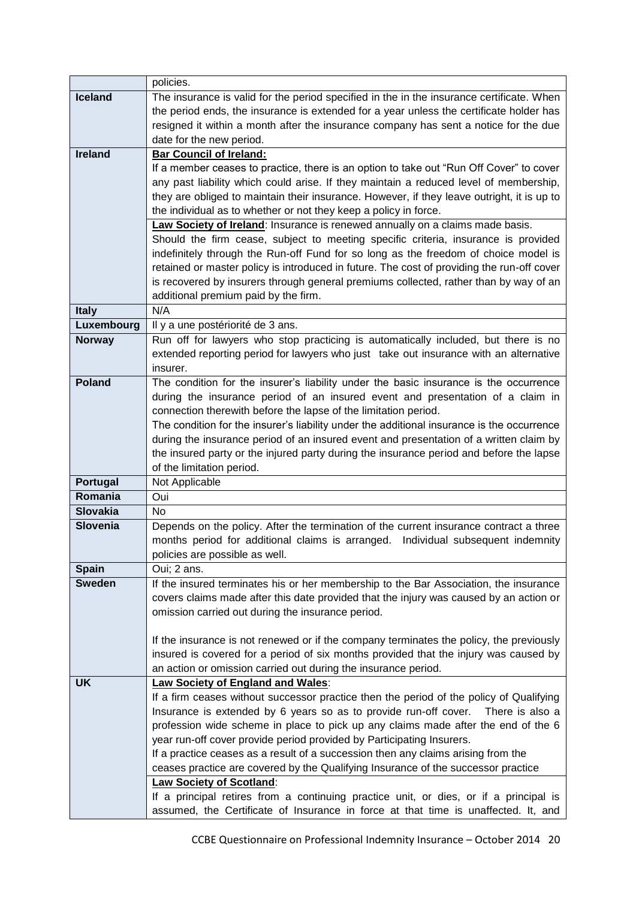|                 | policies.                                                                                  |
|-----------------|--------------------------------------------------------------------------------------------|
| <b>Iceland</b>  | The insurance is valid for the period specified in the in the insurance certificate. When  |
|                 | the period ends, the insurance is extended for a year unless the certificate holder has    |
|                 | resigned it within a month after the insurance company has sent a notice for the due       |
|                 | date for the new period.                                                                   |
| <b>Ireland</b>  | <b>Bar Council of Ireland:</b>                                                             |
|                 | If a member ceases to practice, there is an option to take out "Run Off Cover" to cover    |
|                 | any past liability which could arise. If they maintain a reduced level of membership,      |
|                 | they are obliged to maintain their insurance. However, if they leave outright, it is up to |
|                 | the individual as to whether or not they keep a policy in force.                           |
|                 | Law Society of Ireland: Insurance is renewed annually on a claims made basis.              |
|                 | Should the firm cease, subject to meeting specific criteria, insurance is provided         |
|                 | indefinitely through the Run-off Fund for so long as the freedom of choice model is        |
|                 | retained or master policy is introduced in future. The cost of providing the run-off cover |
|                 | is recovered by insurers through general premiums collected, rather than by way of an      |
|                 | additional premium paid by the firm.                                                       |
| <b>Italy</b>    | N/A                                                                                        |
| Luxembourg      | Il y a une postériorité de 3 ans.                                                          |
| <b>Norway</b>   | Run off for lawyers who stop practicing is automatically included, but there is no         |
|                 | extended reporting period for lawyers who just take out insurance with an alternative      |
|                 | insurer.                                                                                   |
| <b>Poland</b>   | The condition for the insurer's liability under the basic insurance is the occurrence      |
|                 | during the insurance period of an insured event and presentation of a claim in             |
|                 | connection therewith before the lapse of the limitation period.                            |
|                 | The condition for the insurer's liability under the additional insurance is the occurrence |
|                 | during the insurance period of an insured event and presentation of a written claim by     |
|                 | the insured party or the injured party during the insurance period and before the lapse    |
|                 | of the limitation period.                                                                  |
| Portugal        | Not Applicable                                                                             |
| Romania         | Oui                                                                                        |
| <b>Slovakia</b> | No                                                                                         |
| <b>Slovenia</b> | Depends on the policy. After the termination of the current insurance contract a three     |
|                 | months period for additional claims is arranged. Individual subsequent indemnity           |
|                 | policies are possible as well.                                                             |
| <b>Spain</b>    | Oui; 2 ans.                                                                                |
| <b>Sweden</b>   | If the insured terminates his or her membership to the Bar Association, the insurance      |
|                 | covers claims made after this date provided that the injury was caused by an action or     |
|                 | omission carried out during the insurance period.                                          |
|                 |                                                                                            |
|                 | If the insurance is not renewed or if the company terminates the policy, the previously    |
|                 | insured is covered for a period of six months provided that the injury was caused by       |
|                 | an action or omission carried out during the insurance period.                             |
| <b>UK</b>       | <b>Law Society of England and Wales:</b>                                                   |
|                 | If a firm ceases without successor practice then the period of the policy of Qualifying    |
|                 | Insurance is extended by 6 years so as to provide run-off cover.<br>There is also a        |
|                 | profession wide scheme in place to pick up any claims made after the end of the 6          |
|                 | year run-off cover provide period provided by Participating Insurers.                      |
|                 | If a practice ceases as a result of a succession then any claims arising from the          |
|                 | ceases practice are covered by the Qualifying Insurance of the successor practice          |
|                 | <b>Law Society of Scotland:</b>                                                            |
|                 | If a principal retires from a continuing practice unit, or dies, or if a principal is      |
|                 | assumed, the Certificate of Insurance in force at that time is unaffected. It, and         |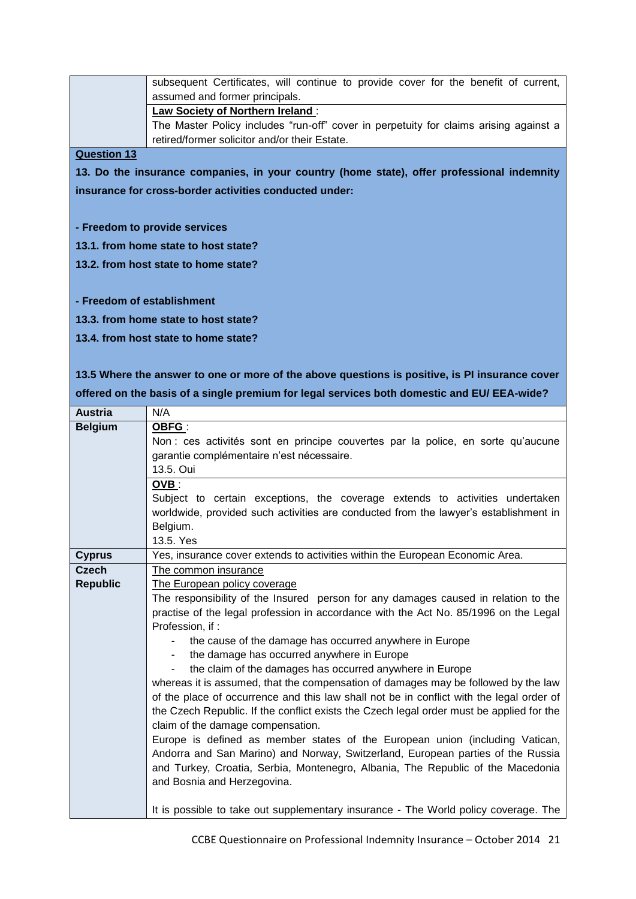subsequent Certificates, will continue to provide cover for the benefit of current, assumed and former principals. **Law Society of Northern Ireland** : The Master Policy includes "run-off" cover in perpetuity for claims arising against a retired/former solicitor and/or their Estate.

**Question 13**

**13. Do the insurance companies, in your country (home state), offer professional indemnity insurance for cross-border activities conducted under:** 

**- Freedom to provide services** 

**13.1. from home state to host state?**

**13.2. from host state to home state?**

**- Freedom of establishment**

**13.3. from home state to host state?**

**13.4. from host state to home state?**

**13.5 Where the answer to one or more of the above questions is positive, is PI insurance cover offered on the basis of a single premium for legal services both domestic and EU/ EEA-wide?**

| <b>Austria</b>  | N/A                                                                                      |
|-----------------|------------------------------------------------------------------------------------------|
| <b>Belgium</b>  | OBFG:                                                                                    |
|                 | Non : ces activités sont en principe couvertes par la police, en sorte qu'aucune         |
|                 | garantie complémentaire n'est nécessaire.                                                |
|                 | 13.5. Oui                                                                                |
|                 | $OVB$ :                                                                                  |
|                 | Subject to certain exceptions, the coverage extends to activities undertaken             |
|                 | worldwide, provided such activities are conducted from the lawyer's establishment in     |
|                 | Belgium.                                                                                 |
|                 | 13.5. Yes                                                                                |
| <b>Cyprus</b>   | Yes, insurance cover extends to activities within the European Economic Area.            |
| <b>Czech</b>    | The common insurance                                                                     |
| <b>Republic</b> | The European policy coverage                                                             |
|                 | The responsibility of the Insured person for any damages caused in relation to the       |
|                 | practise of the legal profession in accordance with the Act No. 85/1996 on the Legal     |
|                 | Profession, if:                                                                          |
|                 | the cause of the damage has occurred anywhere in Europe                                  |
|                 | the damage has occurred anywhere in Europe                                               |
|                 | the claim of the damages has occurred anywhere in Europe<br>$\blacksquare$               |
|                 | whereas it is assumed, that the compensation of damages may be followed by the law       |
|                 | of the place of occurrence and this law shall not be in conflict with the legal order of |
|                 | the Czech Republic. If the conflict exists the Czech legal order must be applied for the |
|                 | claim of the damage compensation.                                                        |
|                 | Europe is defined as member states of the European union (including Vatican,             |
|                 | Andorra and San Marino) and Norway, Switzerland, European parties of the Russia          |
|                 | and Turkey, Croatia, Serbia, Montenegro, Albania, The Republic of the Macedonia          |
|                 | and Bosnia and Herzegovina.                                                              |
|                 |                                                                                          |
|                 | It is possible to take out supplementary insurance - The World policy coverage. The      |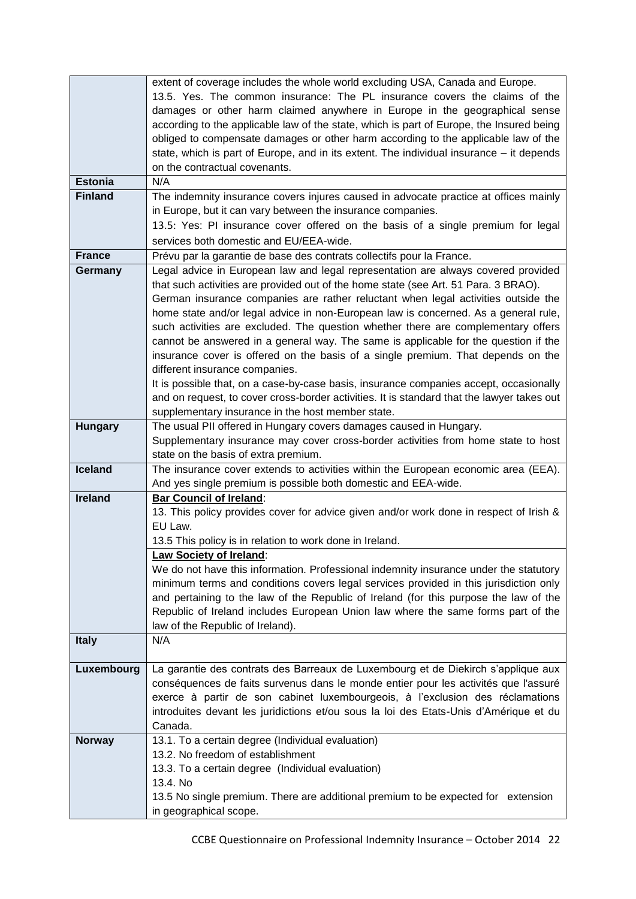|                                  | extent of coverage includes the whole world excluding USA, Canada and Europe.<br>13.5. Yes. The common insurance: The PL insurance covers the claims of the<br>damages or other harm claimed anywhere in Europe in the geographical sense<br>according to the applicable law of the state, which is part of Europe, the Insured being |
|----------------------------------|---------------------------------------------------------------------------------------------------------------------------------------------------------------------------------------------------------------------------------------------------------------------------------------------------------------------------------------|
|                                  | obliged to compensate damages or other harm according to the applicable law of the<br>state, which is part of Europe, and in its extent. The individual insurance $-$ it depends                                                                                                                                                      |
|                                  | on the contractual covenants.                                                                                                                                                                                                                                                                                                         |
| <b>Estonia</b><br><b>Finland</b> | N/A                                                                                                                                                                                                                                                                                                                                   |
|                                  | The indemnity insurance covers injures caused in advocate practice at offices mainly<br>in Europe, but it can vary between the insurance companies.                                                                                                                                                                                   |
|                                  | 13.5: Yes: PI insurance cover offered on the basis of a single premium for legal                                                                                                                                                                                                                                                      |
|                                  | services both domestic and EU/EEA-wide.                                                                                                                                                                                                                                                                                               |
| France                           | Prévu par la garantie de base des contrats collectifs pour la France.                                                                                                                                                                                                                                                                 |
| Germany                          | Legal advice in European law and legal representation are always covered provided                                                                                                                                                                                                                                                     |
|                                  | that such activities are provided out of the home state (see Art. 51 Para. 3 BRAO).                                                                                                                                                                                                                                                   |
|                                  | German insurance companies are rather reluctant when legal activities outside the                                                                                                                                                                                                                                                     |
|                                  | home state and/or legal advice in non-European law is concerned. As a general rule,                                                                                                                                                                                                                                                   |
|                                  | such activities are excluded. The question whether there are complementary offers                                                                                                                                                                                                                                                     |
|                                  | cannot be answered in a general way. The same is applicable for the question if the                                                                                                                                                                                                                                                   |
|                                  | insurance cover is offered on the basis of a single premium. That depends on the                                                                                                                                                                                                                                                      |
|                                  | different insurance companies.<br>It is possible that, on a case-by-case basis, insurance companies accept, occasionally                                                                                                                                                                                                              |
|                                  | and on request, to cover cross-border activities. It is standard that the lawyer takes out                                                                                                                                                                                                                                            |
|                                  | supplementary insurance in the host member state.                                                                                                                                                                                                                                                                                     |
| <b>Hungary</b>                   | The usual PII offered in Hungary covers damages caused in Hungary.                                                                                                                                                                                                                                                                    |
|                                  | Supplementary insurance may cover cross-border activities from home state to host                                                                                                                                                                                                                                                     |
|                                  | state on the basis of extra premium.                                                                                                                                                                                                                                                                                                  |
| <b>Iceland</b>                   | The insurance cover extends to activities within the European economic area (EEA).                                                                                                                                                                                                                                                    |
| <b>Ireland</b>                   | And yes single premium is possible both domestic and EEA-wide.<br><b>Bar Council of Ireland:</b>                                                                                                                                                                                                                                      |
|                                  | 13. This policy provides cover for advice given and/or work done in respect of Irish &                                                                                                                                                                                                                                                |
|                                  | EU Law.                                                                                                                                                                                                                                                                                                                               |
|                                  | 13.5 This policy is in relation to work done in Ireland.                                                                                                                                                                                                                                                                              |
|                                  | <b>Law Society of Ireland:</b>                                                                                                                                                                                                                                                                                                        |
|                                  | We do not have this information. Professional indemnity insurance under the statutory                                                                                                                                                                                                                                                 |
|                                  | minimum terms and conditions covers legal services provided in this jurisdiction only                                                                                                                                                                                                                                                 |
|                                  | and pertaining to the law of the Republic of Ireland (for this purpose the law of the                                                                                                                                                                                                                                                 |
|                                  | Republic of Ireland includes European Union law where the same forms part of the<br>law of the Republic of Ireland).                                                                                                                                                                                                                  |
| <b>Italy</b>                     | N/A                                                                                                                                                                                                                                                                                                                                   |
|                                  |                                                                                                                                                                                                                                                                                                                                       |
| Luxembourg                       | La garantie des contrats des Barreaux de Luxembourg et de Diekirch s'applique aux                                                                                                                                                                                                                                                     |
|                                  | conséquences de faits survenus dans le monde entier pour les activités que l'assuré                                                                                                                                                                                                                                                   |
|                                  | exerce à partir de son cabinet luxembourgeois, à l'exclusion des réclamations                                                                                                                                                                                                                                                         |
|                                  | introduites devant les juridictions et/ou sous la loi des Etats-Unis d'Amérique et du<br>Canada.                                                                                                                                                                                                                                      |
| <b>Norway</b>                    | 13.1. To a certain degree (Individual evaluation)                                                                                                                                                                                                                                                                                     |
|                                  | 13.2. No freedom of establishment                                                                                                                                                                                                                                                                                                     |
|                                  | 13.3. To a certain degree (Individual evaluation)                                                                                                                                                                                                                                                                                     |
|                                  | 13.4. No                                                                                                                                                                                                                                                                                                                              |
|                                  | 13.5 No single premium. There are additional premium to be expected for extension                                                                                                                                                                                                                                                     |
|                                  | in geographical scope.                                                                                                                                                                                                                                                                                                                |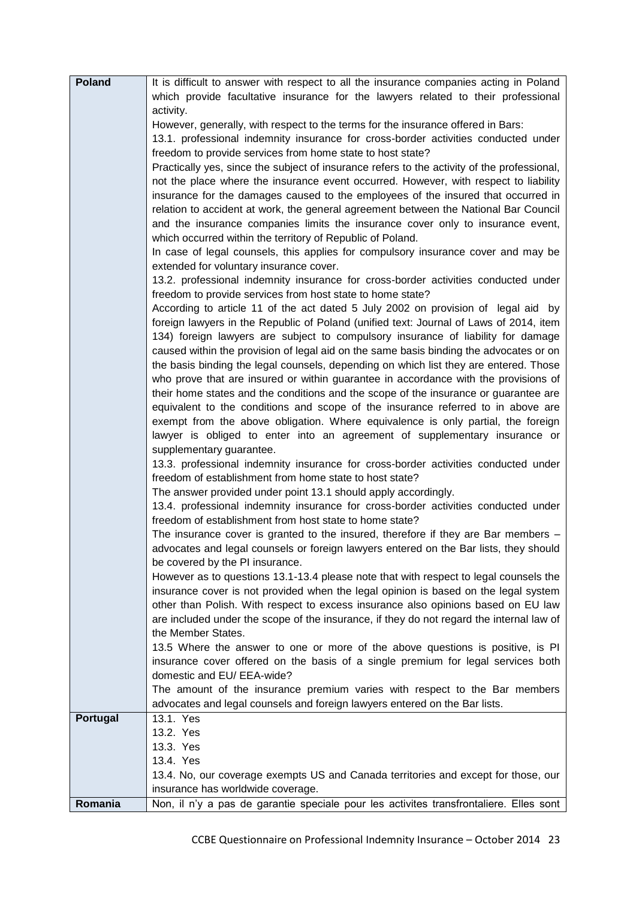| <b>Poland</b> | It is difficult to answer with respect to all the insurance companies acting in Poland                                                                             |
|---------------|--------------------------------------------------------------------------------------------------------------------------------------------------------------------|
|               | which provide facultative insurance for the lawyers related to their professional<br>activity.                                                                     |
|               | However, generally, with respect to the terms for the insurance offered in Bars:                                                                                   |
|               | 13.1. professional indemnity insurance for cross-border activities conducted under                                                                                 |
|               | freedom to provide services from home state to host state?                                                                                                         |
|               | Practically yes, since the subject of insurance refers to the activity of the professional,                                                                        |
|               | not the place where the insurance event occurred. However, with respect to liability                                                                               |
|               | insurance for the damages caused to the employees of the insured that occurred in                                                                                  |
|               | relation to accident at work, the general agreement between the National Bar Council                                                                               |
|               | and the insurance companies limits the insurance cover only to insurance event,                                                                                    |
|               | which occurred within the territory of Republic of Poland.                                                                                                         |
|               | In case of legal counsels, this applies for compulsory insurance cover and may be<br>extended for voluntary insurance cover.                                       |
|               | 13.2. professional indemnity insurance for cross-border activities conducted under                                                                                 |
|               | freedom to provide services from host state to home state?                                                                                                         |
|               | According to article 11 of the act dated 5 July 2002 on provision of legal aid by                                                                                  |
|               | foreign lawyers in the Republic of Poland (unified text: Journal of Laws of 2014, item                                                                             |
|               | 134) foreign lawyers are subject to compulsory insurance of liability for damage                                                                                   |
|               | caused within the provision of legal aid on the same basis binding the advocates or on                                                                             |
|               | the basis binding the legal counsels, depending on which list they are entered. Those                                                                              |
|               | who prove that are insured or within guarantee in accordance with the provisions of                                                                                |
|               | their home states and the conditions and the scope of the insurance or guarantee are                                                                               |
|               | equivalent to the conditions and scope of the insurance referred to in above are                                                                                   |
|               | exempt from the above obligation. Where equivalence is only partial, the foreign                                                                                   |
|               | lawyer is obliged to enter into an agreement of supplementary insurance or                                                                                         |
|               | supplementary guarantee.                                                                                                                                           |
|               | 13.3. professional indemnity insurance for cross-border activities conducted under<br>freedom of establishment from home state to host state?                      |
|               | The answer provided under point 13.1 should apply accordingly.                                                                                                     |
|               | 13.4. professional indemnity insurance for cross-border activities conducted under                                                                                 |
|               | freedom of establishment from host state to home state?                                                                                                            |
|               | The insurance cover is granted to the insured, therefore if they are Bar members -                                                                                 |
|               | advocates and legal counsels or foreign lawyers entered on the Bar lists, they should                                                                              |
|               | be covered by the PI insurance.                                                                                                                                    |
|               | However as to questions 13.1-13.4 please note that with respect to legal counsels the                                                                              |
|               | insurance cover is not provided when the legal opinion is based on the legal system                                                                                |
|               | other than Polish. With respect to excess insurance also opinions based on EU law                                                                                  |
|               | are included under the scope of the insurance, if they do not regard the internal law of                                                                           |
|               | the Member States.                                                                                                                                                 |
|               | 13.5 Where the answer to one or more of the above questions is positive, is PI<br>insurance cover offered on the basis of a single premium for legal services both |
|               | domestic and EU/ EEA-wide?                                                                                                                                         |
|               | The amount of the insurance premium varies with respect to the Bar members                                                                                         |
|               | advocates and legal counsels and foreign lawyers entered on the Bar lists.                                                                                         |
| Portugal      | 13.1. Yes                                                                                                                                                          |
|               | 13.2. Yes                                                                                                                                                          |
|               | 13.3. Yes                                                                                                                                                          |
|               | 13.4. Yes                                                                                                                                                          |
|               | 13.4. No, our coverage exempts US and Canada territories and except for those, our                                                                                 |
|               | insurance has worldwide coverage.                                                                                                                                  |
| Romania       | Non, il n'y a pas de garantie speciale pour les activites transfrontaliere. Elles sont                                                                             |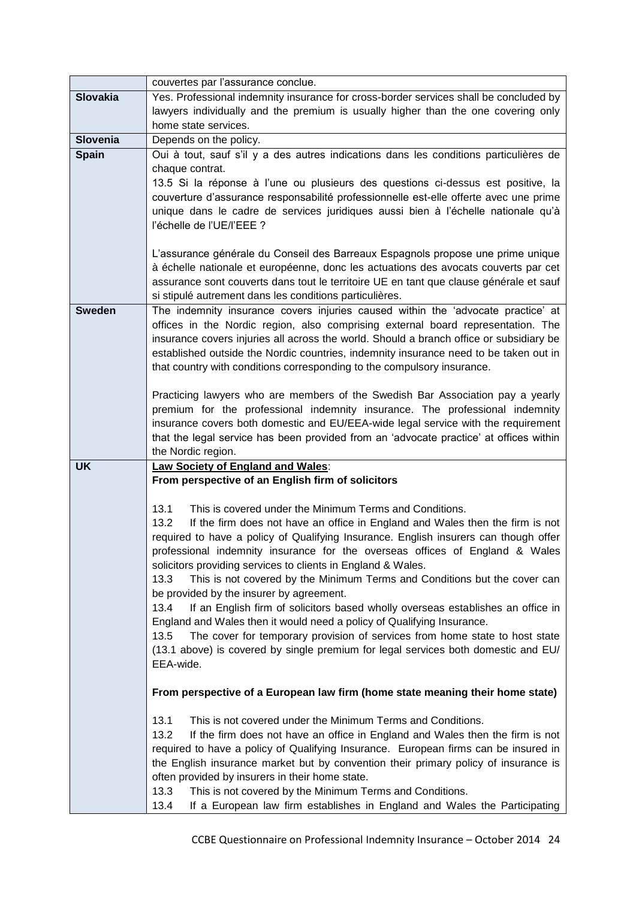|                 | couvertes par l'assurance conclue.                                                                                                                |
|-----------------|---------------------------------------------------------------------------------------------------------------------------------------------------|
| <b>Slovakia</b> | Yes. Professional indemnity insurance for cross-border services shall be concluded by                                                             |
|                 | lawyers individually and the premium is usually higher than the one covering only                                                                 |
|                 | home state services.                                                                                                                              |
| <b>Slovenia</b> | Depends on the policy.                                                                                                                            |
| <b>Spain</b>    | Oui à tout, sauf s'il y a des autres indications dans les conditions particulières de                                                             |
|                 | chaque contrat.                                                                                                                                   |
|                 | 13.5 Si la réponse à l'une ou plusieurs des questions ci-dessus est positive, la                                                                  |
|                 | couverture d'assurance responsabilité professionnelle est-elle offerte avec une prime                                                             |
|                 | unique dans le cadre de services juridiques aussi bien à l'échelle nationale qu'à                                                                 |
|                 | l'échelle de l'UE/l'EEE?                                                                                                                          |
|                 |                                                                                                                                                   |
|                 | L'assurance générale du Conseil des Barreaux Espagnols propose une prime unique                                                                   |
|                 | à échelle nationale et européenne, donc les actuations des avocats couverts par cet                                                               |
|                 | assurance sont couverts dans tout le territoire UE en tant que clause générale et sauf<br>si stipulé autrement dans les conditions particulières. |
| <b>Sweden</b>   | The indemnity insurance covers injuries caused within the 'advocate practice' at                                                                  |
|                 | offices in the Nordic region, also comprising external board representation. The                                                                  |
|                 | insurance covers injuries all across the world. Should a branch office or subsidiary be                                                           |
|                 | established outside the Nordic countries, indemnity insurance need to be taken out in                                                             |
|                 | that country with conditions corresponding to the compulsory insurance.                                                                           |
|                 |                                                                                                                                                   |
|                 | Practicing lawyers who are members of the Swedish Bar Association pay a yearly                                                                    |
|                 | premium for the professional indemnity insurance. The professional indemnity                                                                      |
|                 | insurance covers both domestic and EU/EEA-wide legal service with the requirement                                                                 |
|                 | that the legal service has been provided from an 'advocate practice' at offices within                                                            |
|                 | the Nordic region.                                                                                                                                |
| <b>UK</b>       | Law Society of England and Wales:                                                                                                                 |
|                 | From perspective of an English firm of solicitors                                                                                                 |
|                 | 13.1<br>This is covered under the Minimum Terms and Conditions.                                                                                   |
|                 | 13.2<br>If the firm does not have an office in England and Wales then the firm is not                                                             |
|                 | required to have a policy of Qualifying Insurance. English insurers can though offer                                                              |
|                 | professional indemnity insurance for the overseas offices of England & Wales                                                                      |
|                 | solicitors providing services to clients in England & Wales.                                                                                      |
|                 | This is not covered by the Minimum Terms and Conditions but the cover can<br>13.3                                                                 |
|                 | be provided by the insurer by agreement.                                                                                                          |
|                 | 13.4<br>If an English firm of solicitors based wholly overseas establishes an office in                                                           |
|                 | England and Wales then it would need a policy of Qualifying Insurance.                                                                            |
|                 | The cover for temporary provision of services from home state to host state<br>13.5                                                               |
|                 | (13.1 above) is covered by single premium for legal services both domestic and EU/                                                                |
|                 | EEA-wide.                                                                                                                                         |
|                 |                                                                                                                                                   |
|                 | From perspective of a European law firm (home state meaning their home state)                                                                     |
|                 | This is not covered under the Minimum Terms and Conditions.<br>13.1                                                                               |
|                 | 13.2<br>If the firm does not have an office in England and Wales then the firm is not                                                             |
|                 | required to have a policy of Qualifying Insurance. European firms can be insured in                                                               |
|                 | the English insurance market but by convention their primary policy of insurance is                                                               |
|                 | often provided by insurers in their home state.                                                                                                   |
|                 | 13.3<br>This is not covered by the Minimum Terms and Conditions.                                                                                  |
|                 | 13.4<br>If a European law firm establishes in England and Wales the Participating                                                                 |